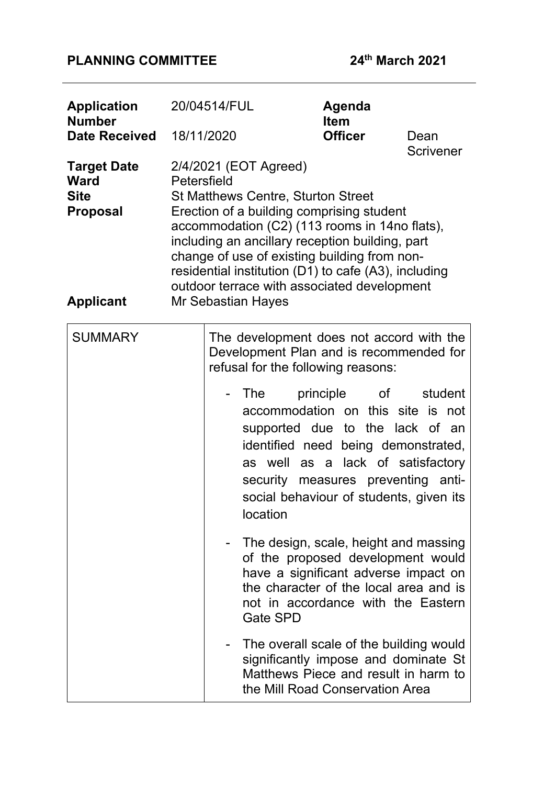# **PLANNING COMMITTEE 24th March 2021**

| <b>Application</b><br><b>Number</b><br><b>Date Received</b>                             | 20/04514/FUL<br>18/11/2020 |                                                                                                                                                                                                                                                                                                                                                                                                         | Agenda<br><b>Item</b><br><b>Officer</b> |                                                                                                                 | Dean<br><b>Scrivener</b>                                                                                                                                                                                                                                                                                                                                                                                                                                                                                                                                                                                                                                             |
|-----------------------------------------------------------------------------------------|----------------------------|---------------------------------------------------------------------------------------------------------------------------------------------------------------------------------------------------------------------------------------------------------------------------------------------------------------------------------------------------------------------------------------------------------|-----------------------------------------|-----------------------------------------------------------------------------------------------------------------|----------------------------------------------------------------------------------------------------------------------------------------------------------------------------------------------------------------------------------------------------------------------------------------------------------------------------------------------------------------------------------------------------------------------------------------------------------------------------------------------------------------------------------------------------------------------------------------------------------------------------------------------------------------------|
| <b>Target Date</b><br><b>Ward</b><br><b>Site</b><br><b>Proposal</b><br><b>Applicant</b> | Petersfield                | 2/4/2021 (EOT Agreed)<br><b>St Matthews Centre, Sturton Street</b><br>Erection of a building comprising student<br>accommodation (C2) (113 rooms in 14no flats),<br>including an ancillary reception building, part<br>change of use of existing building from non-<br>residential institution (D1) to cafe (A3), including<br>outdoor terrace with associated development<br><b>Mr Sebastian Hayes</b> |                                         |                                                                                                                 |                                                                                                                                                                                                                                                                                                                                                                                                                                                                                                                                                                                                                                                                      |
| <b>SUMMARY</b>                                                                          |                            | refusal for the following reasons:<br>- The<br>location<br><b>Gate SPD</b><br>the Mill Road Conservation Area                                                                                                                                                                                                                                                                                           | principle                               | of the contract of the contract of the contract of the contract of the contract of the contract of the contract | The development does not accord with the<br>Development Plan and is recommended for<br>student<br>accommodation on this site is not<br>supported due to the lack of an<br>identified need being demonstrated,<br>as well as a lack of satisfactory<br>security measures preventing anti-<br>social behaviour of students, given its<br>The design, scale, height and massing<br>of the proposed development would<br>have a significant adverse impact on<br>the character of the local area and is<br>not in accordance with the Eastern<br>The overall scale of the building would<br>significantly impose and dominate St<br>Matthews Piece and result in harm to |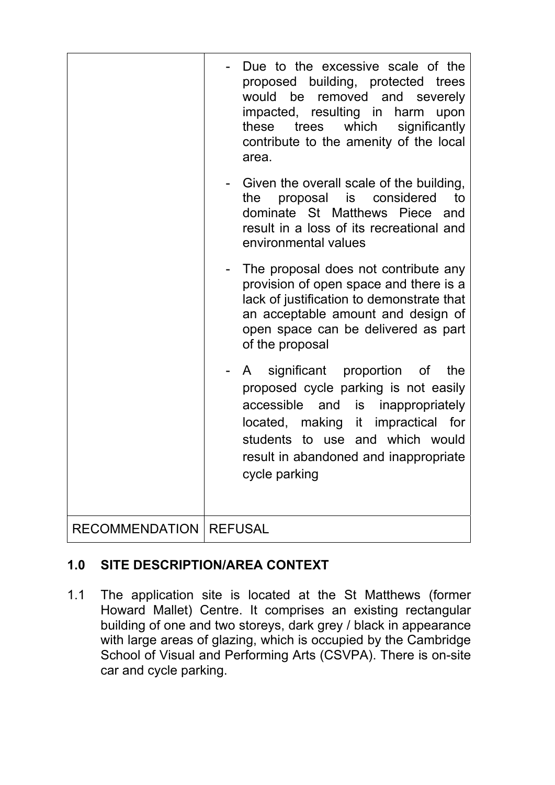|                       | Due to the excessive scale of the<br>proposed building, protected trees<br>would be removed and severely<br>impacted, resulting in harm upon<br>these trees<br>which<br>significantly<br>contribute to the amenity of the local<br>area.                            |  |
|-----------------------|---------------------------------------------------------------------------------------------------------------------------------------------------------------------------------------------------------------------------------------------------------------------|--|
|                       | Given the overall scale of the building,<br>proposal is considered<br>to<br>the<br>dominate St Matthews Piece<br>and<br>result in a loss of its recreational and<br>environmental values                                                                            |  |
|                       | The proposal does not contribute any<br>provision of open space and there is a<br>lack of justification to demonstrate that<br>an acceptable amount and design of<br>open space can be delivered as part<br>of the proposal                                         |  |
|                       | significant proportion of<br>the<br>$\mathsf{A}$<br>proposed cycle parking is not easily<br>accessible and is<br>inappropriately<br>located, making it impractical for<br>students to use and which would<br>result in abandoned and inappropriate<br>cycle parking |  |
| <b>RECOMMENDATION</b> | <b>REFUSAL</b>                                                                                                                                                                                                                                                      |  |

# **1.0 SITE DESCRIPTION/AREA CONTEXT**

1.1 The application site is located at the St Matthews (former Howard Mallet) Centre. It comprises an existing rectangular building of one and two storeys, dark grey / black in appearance with large areas of glazing, which is occupied by the Cambridge School of Visual and Performing Arts (CSVPA). There is on-site car and cycle parking.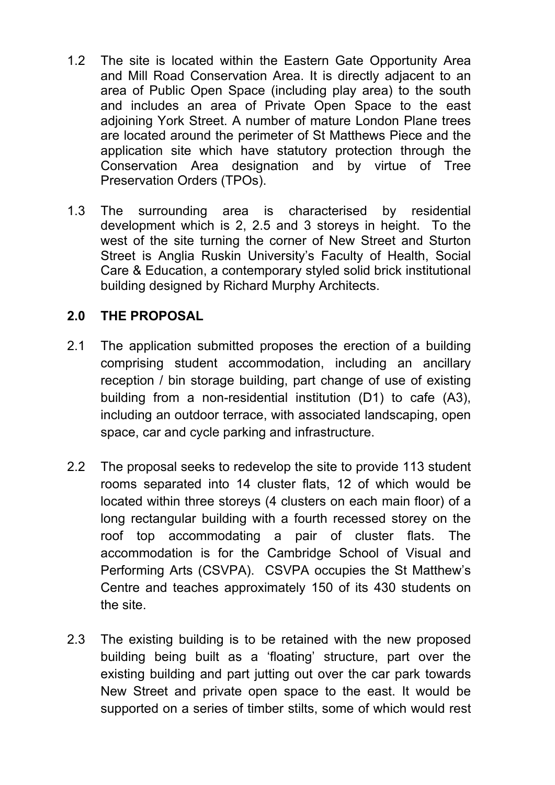- 1.2 The site is located within the Eastern Gate Opportunity Area and Mill Road Conservation Area. It is directly adjacent to an area of Public Open Space (including play area) to the south and includes an area of Private Open Space to the east adjoining York Street. A number of mature London Plane trees are located around the perimeter of St Matthews Piece and the application site which have statutory protection through the Conservation Area designation and by virtue of Tree Preservation Orders (TPOs).
- 1.3 The surrounding area is characterised by residential development which is 2, 2.5 and 3 storeys in height. To the west of the site turning the corner of New Street and Sturton Street is Anglia Ruskin University's Faculty of Health, Social Care & Education, a contemporary styled solid brick institutional building designed by Richard Murphy Architects.

### **2.0 THE PROPOSAL**

- 2.1 The application submitted proposes the erection of a building comprising student accommodation, including an ancillary reception / bin storage building, part change of use of existing building from a non-residential institution (D1) to cafe (A3), including an outdoor terrace, with associated landscaping, open space, car and cycle parking and infrastructure.
- 2.2 The proposal seeks to redevelop the site to provide 113 student rooms separated into 14 cluster flats, 12 of which would be located within three storeys (4 clusters on each main floor) of a long rectangular building with a fourth recessed storey on the roof top accommodating a pair of cluster flats. The accommodation is for the Cambridge School of Visual and Performing Arts (CSVPA). CSVPA occupies the St Matthew's Centre and teaches approximately 150 of its 430 students on the site.
- 2.3 The existing building is to be retained with the new proposed building being built as a 'floating' structure, part over the existing building and part jutting out over the car park towards New Street and private open space to the east. It would be supported on a series of timber stilts, some of which would rest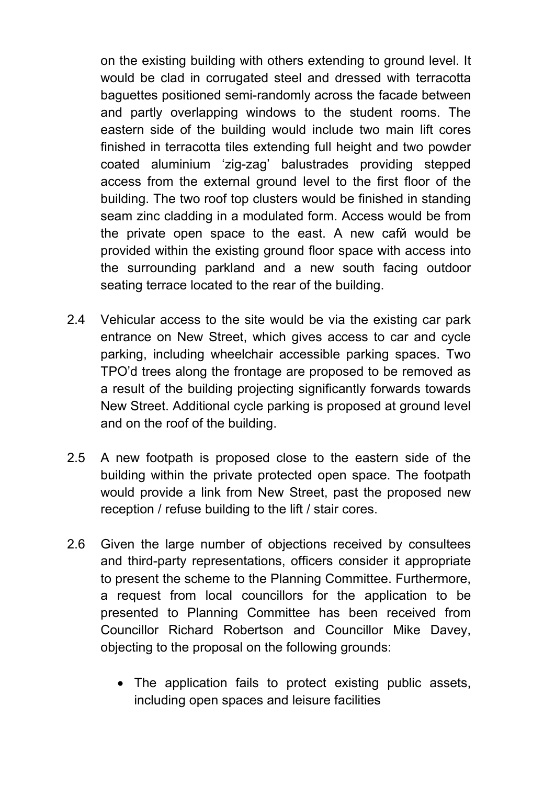on the existing building with others extending to ground level. It would be clad in corrugated steel and dressed with terracotta baguettes positioned semi-randomly across the facade between and partly overlapping windows to the student rooms. The eastern side of the building would include two main lift cores finished in terracotta tiles extending full height and two powder coated aluminium 'zig-zag' balustrades providing stepped access from the external ground level to the first floor of the building. The two roof top clusters would be finished in standing seam zinc cladding in a modulated form. Access would be from the private open space to the east. A new cafй would be provided within the existing ground floor space with access into the surrounding parkland and a new south facing outdoor seating terrace located to the rear of the building.

- 2.4 Vehicular access to the site would be via the existing car park entrance on New Street, which gives access to car and cycle parking, including wheelchair accessible parking spaces. Two TPO'd trees along the frontage are proposed to be removed as a result of the building projecting significantly forwards towards New Street. Additional cycle parking is proposed at ground level and on the roof of the building.
- 2.5 A new footpath is proposed close to the eastern side of the building within the private protected open space. The footpath would provide a link from New Street, past the proposed new reception / refuse building to the lift / stair cores.
- 2.6 Given the large number of objections received by consultees and third-party representations, officers consider it appropriate to present the scheme to the Planning Committee. Furthermore, a request from local councillors for the application to be presented to Planning Committee has been received from Councillor Richard Robertson and Councillor Mike Davey, objecting to the proposal on the following grounds:
	- The application fails to protect existing public assets, including open spaces and leisure facilities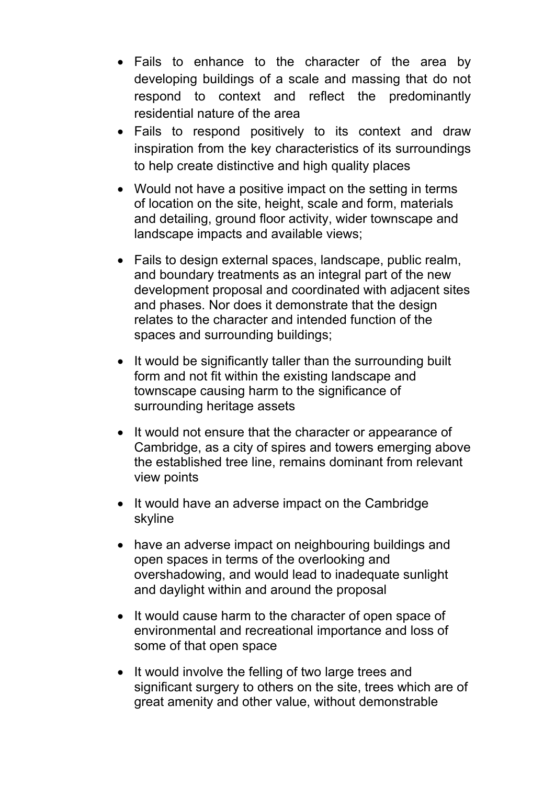- Fails to enhance to the character of the area by developing buildings of a scale and massing that do not respond to context and reflect the predominantly residential nature of the area
- Fails to respond positively to its context and draw inspiration from the key characteristics of its surroundings to help create distinctive and high quality places
- Would not have a positive impact on the setting in terms of location on the site, height, scale and form, materials and detailing, ground floor activity, wider townscape and landscape impacts and available views;
- Fails to design external spaces, landscape, public realm, and boundary treatments as an integral part of the new development proposal and coordinated with adjacent sites and phases. Nor does it demonstrate that the design relates to the character and intended function of the spaces and surrounding buildings;
- It would be significantly taller than the surrounding built form and not fit within the existing landscape and townscape causing harm to the significance of surrounding heritage assets
- It would not ensure that the character or appearance of Cambridge, as a city of spires and towers emerging above the established tree line, remains dominant from relevant view points
- It would have an adverse impact on the Cambridge skyline
- have an adverse impact on neighbouring buildings and open spaces in terms of the overlooking and overshadowing, and would lead to inadequate sunlight and daylight within and around the proposal
- It would cause harm to the character of open space of environmental and recreational importance and loss of some of that open space
- It would involve the felling of two large trees and significant surgery to others on the site, trees which are of great amenity and other value, without demonstrable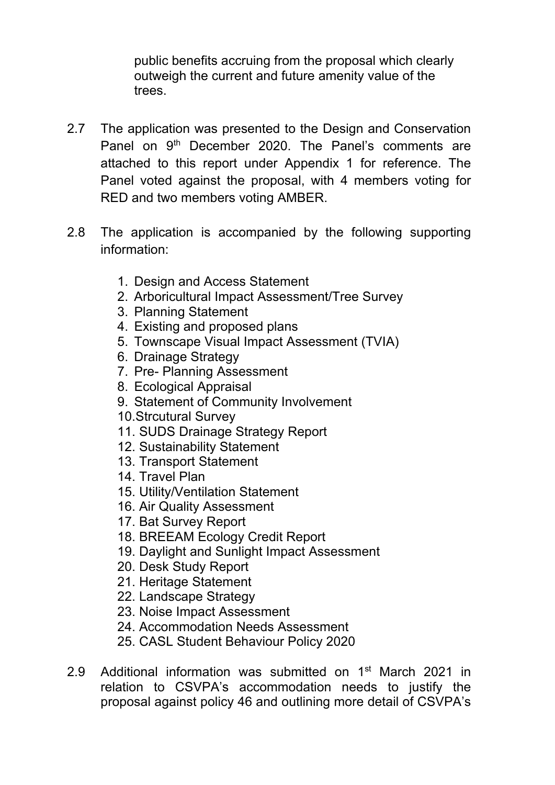public benefits accruing from the proposal which clearly outweigh the current and future amenity value of the trees.

- 2.7 The application was presented to the Design and Conservation Panel on 9<sup>th</sup> December 2020. The Panel's comments are attached to this report under Appendix 1 for reference. The Panel voted against the proposal, with 4 members voting for RED and two members voting AMBER.
- 2.8 The application is accompanied by the following supporting information:
	- 1. Design and Access Statement
	- 2. Arboricultural Impact Assessment/Tree Survey
	- 3. Planning Statement
	- 4. Existing and proposed plans
	- 5. Townscape Visual Impact Assessment (TVIA)
	- 6. Drainage Strategy
	- 7. Pre- Planning Assessment
	- 8. Ecological Appraisal
	- 9. Statement of Community Involvement
	- 10.Strcutural Survey
	- 11. SUDS Drainage Strategy Report
	- 12. Sustainability Statement
	- 13. Transport Statement
	- 14. Travel Plan
	- 15. Utility/Ventilation Statement
	- 16. Air Quality Assessment
	- 17. Bat Survey Report
	- 18. BREEAM Ecology Credit Report
	- 19. Daylight and Sunlight Impact Assessment
	- 20. Desk Study Report
	- 21. Heritage Statement
	- 22. Landscape Strategy
	- 23. Noise Impact Assessment
	- 24. Accommodation Needs Assessment
	- 25. CASL Student Behaviour Policy 2020
- 2.9 Additional information was submitted on 1<sup>st</sup> March 2021 in relation to CSVPA's accommodation needs to justify the proposal against policy 46 and outlining more detail of CSVPA's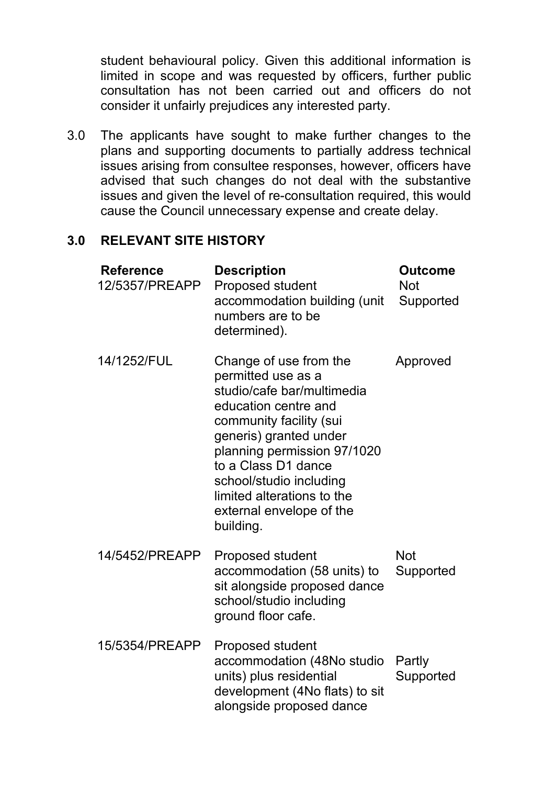student behavioural policy. Given this additional information is limited in scope and was requested by officers, further public consultation has not been carried out and officers do not consider it unfairly prejudices any interested party.

3.0 The applicants have sought to make further changes to the plans and supporting documents to partially address technical issues arising from consultee responses, however, officers have advised that such changes do not deal with the substantive issues and given the level of re-consultation required, this would cause the Council unnecessary expense and create delay.

### **3.0 RELEVANT SITE HISTORY**

| <b>Reference</b><br>12/5357/PREAPP | <b>Description</b><br>Proposed student<br>accommodation building (unit<br>numbers are to be<br>determined).                                                                                                                                                                                                     | <b>Outcome</b><br><b>Not</b><br>Supported |
|------------------------------------|-----------------------------------------------------------------------------------------------------------------------------------------------------------------------------------------------------------------------------------------------------------------------------------------------------------------|-------------------------------------------|
| 14/1252/FUL                        | Change of use from the<br>permitted use as a<br>studio/cafe bar/multimedia<br>education centre and<br>community facility (sui<br>generis) granted under<br>planning permission 97/1020<br>to a Class D1 dance<br>school/studio including<br>limited alterations to the<br>external envelope of the<br>building. | Approved                                  |
| 14/5452/PREAPP                     | <b>Proposed student</b><br>accommodation (58 units) to<br>sit alongside proposed dance<br>school/studio including<br>ground floor cafe.                                                                                                                                                                         | <b>Not</b><br>Supported                   |
| 15/5354/PREAPP                     | <b>Proposed student</b><br>accommodation (48No studio<br>units) plus residential<br>development (4No flats) to sit<br>alongside proposed dance                                                                                                                                                                  | Partly<br>Supported                       |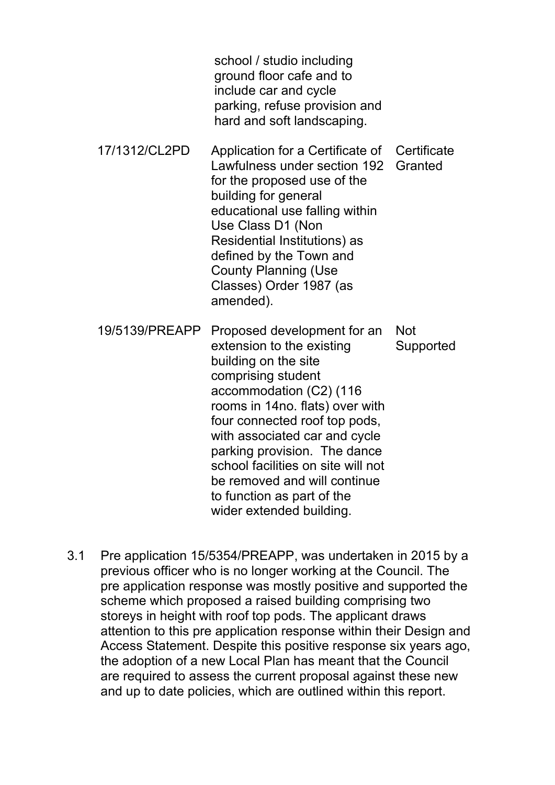school / studio including ground floor cafe and to include car and cycle parking, refuse provision and hard and soft landscaping.

- 17/1312/CL2PD Application for a Certificate of Lawfulness under section 192 for the proposed use of the building for general educational use falling within Use Class D1 (Non Residential Institutions) as defined by the Town and County Planning (Use Classes) Order 1987 (as amended). **Certificate Granted**
- 19/5139/PREAPP Proposed development for an extension to the existing building on the site comprising student accommodation (C2) (116 rooms in 14no. flats) over with four connected roof top pods, with associated car and cycle parking provision. The dance school facilities on site will not be removed and will continue to function as part of the wider extended building. Not **Supported**
- 3.1 Pre application 15/5354/PREAPP, was undertaken in 2015 by a previous officer who is no longer working at the Council. The pre application response was mostly positive and supported the scheme which proposed a raised building comprising two storeys in height with roof top pods. The applicant draws attention to this pre application response within their Design and Access Statement. Despite this positive response six years ago, the adoption of a new Local Plan has meant that the Council are required to assess the current proposal against these new and up to date policies, which are outlined within this report.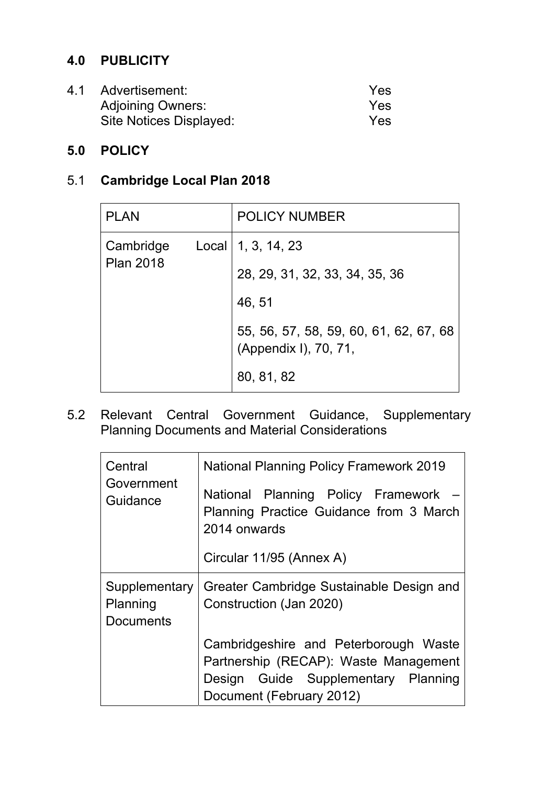### **4.0 PUBLICITY**

| 4.1 Advertisement:       | Yes |
|--------------------------|-----|
| <b>Adjoining Owners:</b> | Yes |
| Site Notices Displayed:  | Yes |

### **5.0 POLICY**

# 5.1 **Cambridge Local Plan 2018**

| <b>PLAN</b>                   |                                | <b>POLICY NUMBER</b>                                            |
|-------------------------------|--------------------------------|-----------------------------------------------------------------|
| Cambridge<br><b>Plan 2018</b> |                                | Local   1, 3, 14, 23                                            |
|                               | 28, 29, 31, 32, 33, 34, 35, 36 |                                                                 |
|                               |                                | 46, 51                                                          |
|                               |                                | 55, 56, 57, 58, 59, 60, 61, 62, 67, 68<br>(Appendix I), 70, 71, |
|                               |                                | 80, 81, 82                                                      |

5.2 Relevant Central Government Guidance, Supplementary Planning Documents and Material Considerations

| Central                                       | <b>National Planning Policy Framework 2019</b>                                                                                                    |  |  |  |
|-----------------------------------------------|---------------------------------------------------------------------------------------------------------------------------------------------------|--|--|--|
| Government<br>Guidance                        | National Planning Policy Framework<br>Planning Practice Guidance from 3 March<br>2014 onwards                                                     |  |  |  |
|                                               | Circular 11/95 (Annex A)                                                                                                                          |  |  |  |
| Supplementary<br>Planning<br><b>Documents</b> | Greater Cambridge Sustainable Design and<br>Construction (Jan 2020)                                                                               |  |  |  |
|                                               | Cambridgeshire and Peterborough Waste<br>Partnership (RECAP): Waste Management<br>Design Guide Supplementary Planning<br>Document (February 2012) |  |  |  |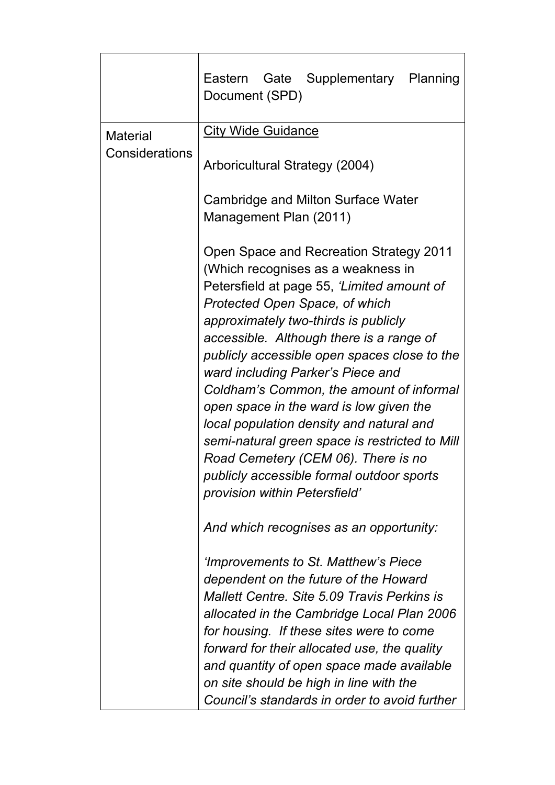|                 | Gate Supplementary Planning<br>Eastern<br>Document (SPD)                                                                                                                                                                                                                                                                                                                                                                                                                                                                                                                                                                                         |  |  |
|-----------------|--------------------------------------------------------------------------------------------------------------------------------------------------------------------------------------------------------------------------------------------------------------------------------------------------------------------------------------------------------------------------------------------------------------------------------------------------------------------------------------------------------------------------------------------------------------------------------------------------------------------------------------------------|--|--|
| <b>Material</b> | <b>City Wide Guidance</b>                                                                                                                                                                                                                                                                                                                                                                                                                                                                                                                                                                                                                        |  |  |
| Considerations  | Arboricultural Strategy (2004)                                                                                                                                                                                                                                                                                                                                                                                                                                                                                                                                                                                                                   |  |  |
|                 | Cambridge and Milton Surface Water                                                                                                                                                                                                                                                                                                                                                                                                                                                                                                                                                                                                               |  |  |
|                 | Management Plan (2011)                                                                                                                                                                                                                                                                                                                                                                                                                                                                                                                                                                                                                           |  |  |
|                 | Open Space and Recreation Strategy 2011<br>(Which recognises as a weakness in<br>Petersfield at page 55, 'Limited amount of<br>Protected Open Space, of which<br>approximately two-thirds is publicly<br>accessible. Although there is a range of<br>publicly accessible open spaces close to the<br>ward including Parker's Piece and<br>Coldham's Common, the amount of informal<br>open space in the ward is low given the<br>local population density and natural and<br>semi-natural green space is restricted to Mill<br>Road Cemetery (CEM 06). There is no<br>publicly accessible formal outdoor sports<br>provision within Petersfield' |  |  |
|                 | And which recognises as an opportunity:                                                                                                                                                                                                                                                                                                                                                                                                                                                                                                                                                                                                          |  |  |
|                 | 'Improvements to St. Matthew's Piece<br>dependent on the future of the Howard<br>Mallett Centre, Site 5.09 Travis Perkins is<br>allocated in the Cambridge Local Plan 2006<br>for housing. If these sites were to come<br>forward for their allocated use, the quality<br>and quantity of open space made available<br>on site should be high in line with the<br>Council's standards in order to avoid further                                                                                                                                                                                                                                  |  |  |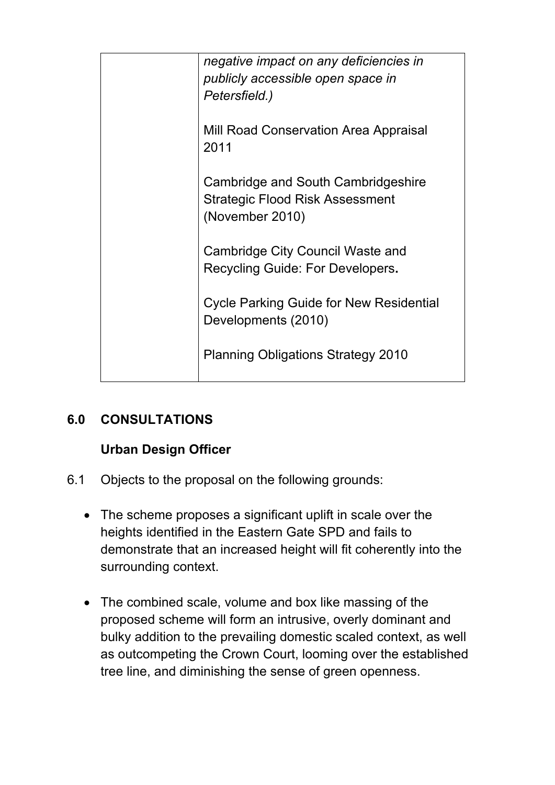| negative impact on any deficiencies in<br>publicly accessible open space in<br>Petersfield.)    |
|-------------------------------------------------------------------------------------------------|
| <b>Mill Road Conservation Area Appraisal</b><br>2011                                            |
| Cambridge and South Cambridgeshire<br><b>Strategic Flood Risk Assessment</b><br>(November 2010) |
| Cambridge City Council Waste and<br>Recycling Guide: For Developers.                            |
| <b>Cycle Parking Guide for New Residential</b><br>Developments (2010)                           |
| <b>Planning Obligations Strategy 2010</b>                                                       |

# **6.0 CONSULTATIONS**

# **Urban Design Officer**

- 6.1 Objects to the proposal on the following grounds:
	- The scheme proposes a significant uplift in scale over the heights identified in the Eastern Gate SPD and fails to demonstrate that an increased height will fit coherently into the surrounding context.
	- The combined scale, volume and box like massing of the proposed scheme will form an intrusive, overly dominant and bulky addition to the prevailing domestic scaled context, as well as outcompeting the Crown Court, looming over the established tree line, and diminishing the sense of green openness.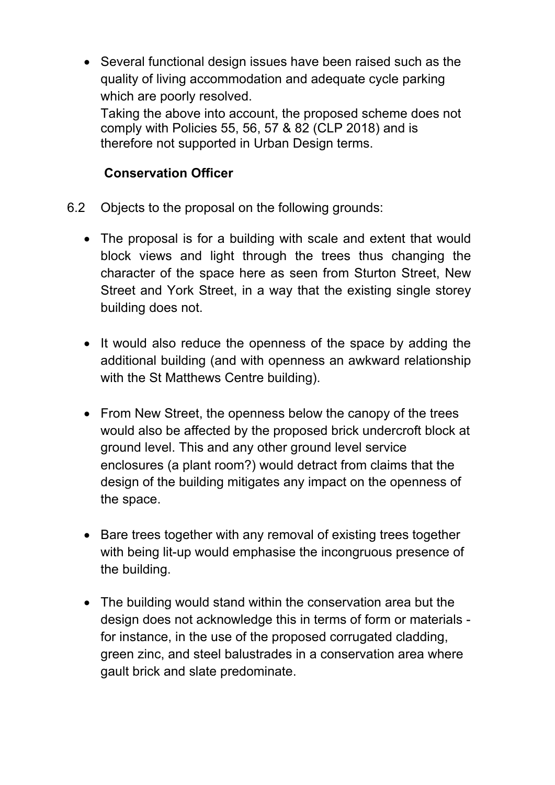• Several functional design issues have been raised such as the quality of living accommodation and adequate cycle parking which are poorly resolved.

Taking the above into account, the proposed scheme does not comply with Policies 55, 56, 57 & 82 (CLP 2018) and is therefore not supported in Urban Design terms.

### **Conservation Officer**

- 6.2 Objects to the proposal on the following grounds:
	- The proposal is for a building with scale and extent that would block views and light through the trees thus changing the character of the space here as seen from Sturton Street, New Street and York Street, in a way that the existing single storey building does not.
	- It would also reduce the openness of the space by adding the additional building (and with openness an awkward relationship with the St Matthews Centre building).
	- From New Street, the openness below the canopy of the trees would also be affected by the proposed brick undercroft block at ground level. This and any other ground level service enclosures (a plant room?) would detract from claims that the design of the building mitigates any impact on the openness of the space.
	- Bare trees together with any removal of existing trees together with being lit-up would emphasise the incongruous presence of the building.
	- The building would stand within the conservation area but the design does not acknowledge this in terms of form or materials for instance, in the use of the proposed corrugated cladding, green zinc, and steel balustrades in a conservation area where gault brick and slate predominate.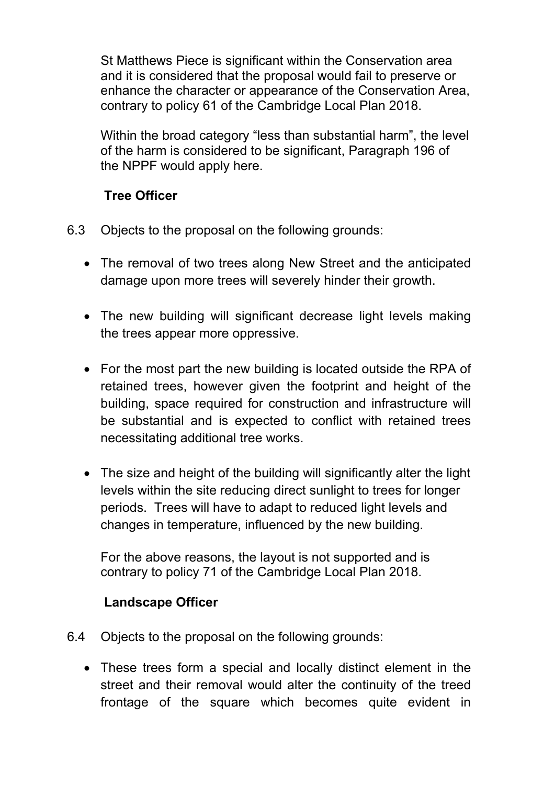St Matthews Piece is significant within the Conservation area and it is considered that the proposal would fail to preserve or enhance the character or appearance of the Conservation Area, contrary to policy 61 of the Cambridge Local Plan 2018.

Within the broad category "less than substantial harm", the level of the harm is considered to be significant, Paragraph 196 of the NPPF would apply here.

### **Tree Officer**

- 6.3 Objects to the proposal on the following grounds:
	- The removal of two trees along New Street and the anticipated damage upon more trees will severely hinder their growth.
	- The new building will significant decrease light levels making the trees appear more oppressive.
	- For the most part the new building is located outside the RPA of retained trees, however given the footprint and height of the building, space required for construction and infrastructure will be substantial and is expected to conflict with retained trees necessitating additional tree works.
	- The size and height of the building will significantly alter the light levels within the site reducing direct sunlight to trees for longer periods. Trees will have to adapt to reduced light levels and changes in temperature, influenced by the new building.

For the above reasons, the layout is not supported and is contrary to policy 71 of the Cambridge Local Plan 2018.

## **Landscape Officer**

- 6.4 Objects to the proposal on the following grounds:
	- These trees form a special and locally distinct element in the street and their removal would alter the continuity of the treed frontage of the square which becomes quite evident in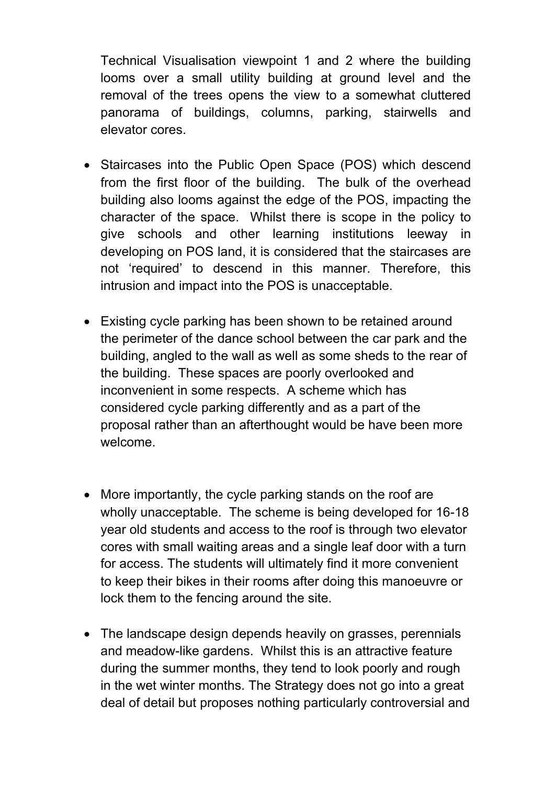Technical Visualisation viewpoint 1 and 2 where the building looms over a small utility building at ground level and the removal of the trees opens the view to a somewhat cluttered panorama of buildings, columns, parking, stairwells and elevator cores.

- Staircases into the Public Open Space (POS) which descend from the first floor of the building. The bulk of the overhead building also looms against the edge of the POS, impacting the character of the space. Whilst there is scope in the policy to give schools and other learning institutions leeway in developing on POS land, it is considered that the staircases are not 'required' to descend in this manner. Therefore, this intrusion and impact into the POS is unacceptable.
- Existing cycle parking has been shown to be retained around the perimeter of the dance school between the car park and the building, angled to the wall as well as some sheds to the rear of the building. These spaces are poorly overlooked and inconvenient in some respects. A scheme which has considered cycle parking differently and as a part of the proposal rather than an afterthought would be have been more welcome.
- More importantly, the cycle parking stands on the roof are wholly unacceptable. The scheme is being developed for 16-18 year old students and access to the roof is through two elevator cores with small waiting areas and a single leaf door with a turn for access. The students will ultimately find it more convenient to keep their bikes in their rooms after doing this manoeuvre or lock them to the fencing around the site.
- The landscape design depends heavily on grasses, perennials and meadow-like gardens. Whilst this is an attractive feature during the summer months, they tend to look poorly and rough in the wet winter months. The Strategy does not go into a great deal of detail but proposes nothing particularly controversial and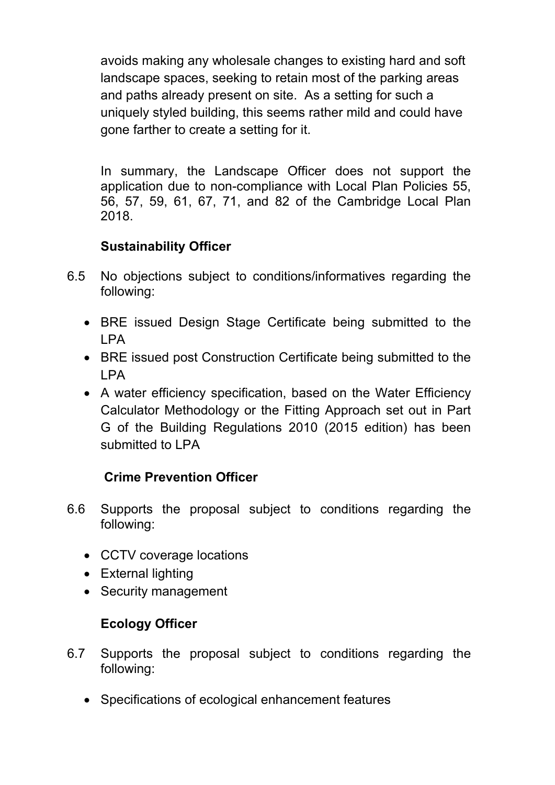avoids making any wholesale changes to existing hard and soft landscape spaces, seeking to retain most of the parking areas and paths already present on site. As a setting for such a uniquely styled building, this seems rather mild and could have gone farther to create a setting for it.

In summary, the Landscape Officer does not support the application due to non-compliance with Local Plan Policies 55, 56, 57, 59, 61, 67, 71, and 82 of the Cambridge Local Plan 2018.

## **Sustainability Officer**

- 6.5 No objections subject to conditions/informatives regarding the following:
	- BRE issued Design Stage Certificate being submitted to the LPA
	- BRE issued post Construction Certificate being submitted to the LPA
	- A water efficiency specification, based on the Water Efficiency Calculator Methodology or the Fitting Approach set out in Part G of the Building Regulations 2010 (2015 edition) has been submitted to LPA

## **Crime Prevention Officer**

- 6.6 Supports the proposal subject to conditions regarding the following:
	- CCTV coverage locations
	- External lighting
	- Security management

# **Ecology Officer**

- 6.7 Supports the proposal subject to conditions regarding the following:
	- Specifications of ecological enhancement features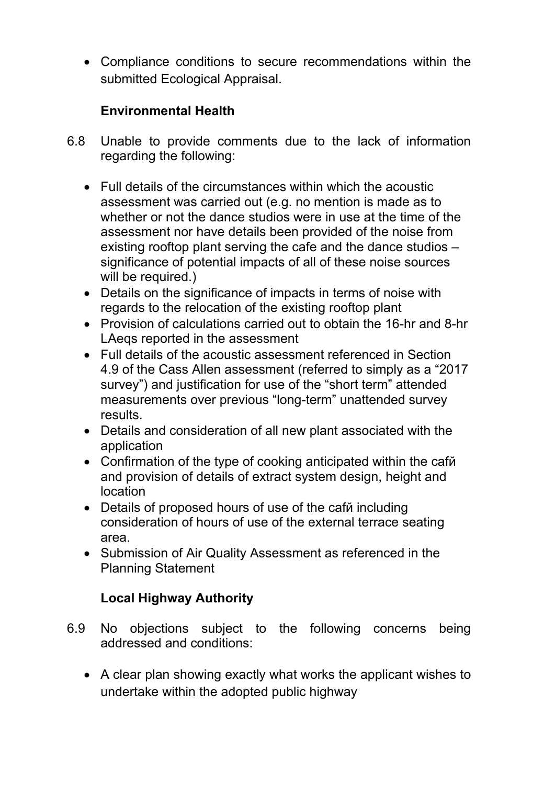Compliance conditions to secure recommendations within the submitted Ecological Appraisal.

## **Environmental Health**

- 6.8 Unable to provide comments due to the lack of information regarding the following:
	- Full details of the circumstances within which the acoustic assessment was carried out (e.g. no mention is made as to whether or not the dance studios were in use at the time of the assessment nor have details been provided of the noise from existing rooftop plant serving the cafe and the dance studios – significance of potential impacts of all of these noise sources will be required.)
	- Details on the significance of impacts in terms of noise with regards to the relocation of the existing rooftop plant
	- Provision of calculations carried out to obtain the 16-hr and 8-hr LAeqs reported in the assessment
	- Full details of the acoustic assessment referenced in Section 4.9 of the Cass Allen assessment (referred to simply as a "2017 survey") and justification for use of the "short term" attended measurements over previous "long-term" unattended survey results.
	- Details and consideration of all new plant associated with the application
	- Confirmation of the type of cooking anticipated within the cafй and provision of details of extract system design, height and location
	- Details of proposed hours of use of the caf $\ddot{\theta}$  including consideration of hours of use of the external terrace seating area.
	- Submission of Air Quality Assessment as referenced in the Planning Statement

# **Local Highway Authority**

- 6.9 No objections subject to the following concerns being addressed and conditions:
	- A clear plan showing exactly what works the applicant wishes to undertake within the adopted public highway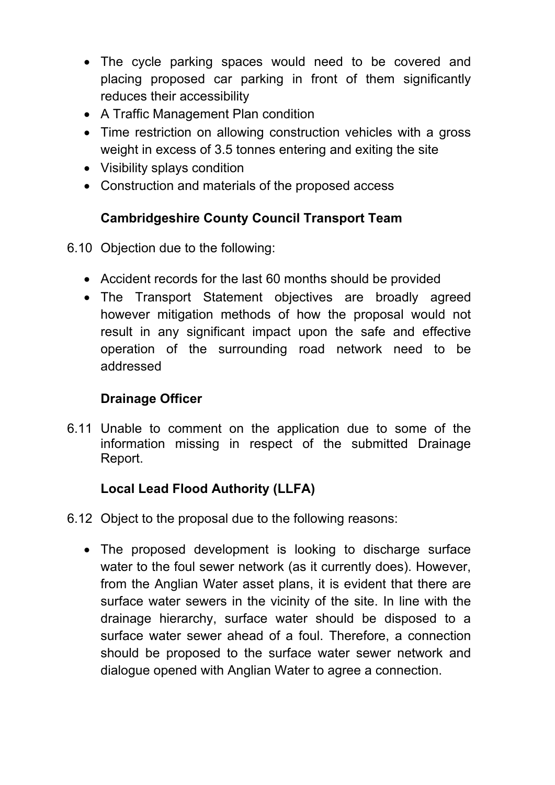- The cycle parking spaces would need to be covered and placing proposed car parking in front of them significantly reduces their accessibility
- A Traffic Management Plan condition
- Time restriction on allowing construction vehicles with a gross weight in excess of 3.5 tonnes entering and exiting the site
- Visibility splays condition
- Construction and materials of the proposed access

## **Cambridgeshire County Council Transport Team**

- 6.10 Objection due to the following:
	- Accident records for the last 60 months should be provided
	- The Transport Statement objectives are broadly agreed however mitigation methods of how the proposal would not result in any significant impact upon the safe and effective operation of the surrounding road network need to be addressed

## **Drainage Officer**

6.11 Unable to comment on the application due to some of the information missing in respect of the submitted Drainage Report.

## **Local Lead Flood Authority (LLFA)**

- 6.12 Object to the proposal due to the following reasons:
	- The proposed development is looking to discharge surface water to the foul sewer network (as it currently does). However, from the Anglian Water asset plans, it is evident that there are surface water sewers in the vicinity of the site. In line with the drainage hierarchy, surface water should be disposed to a surface water sewer ahead of a foul. Therefore, a connection should be proposed to the surface water sewer network and dialogue opened with Anglian Water to agree a connection.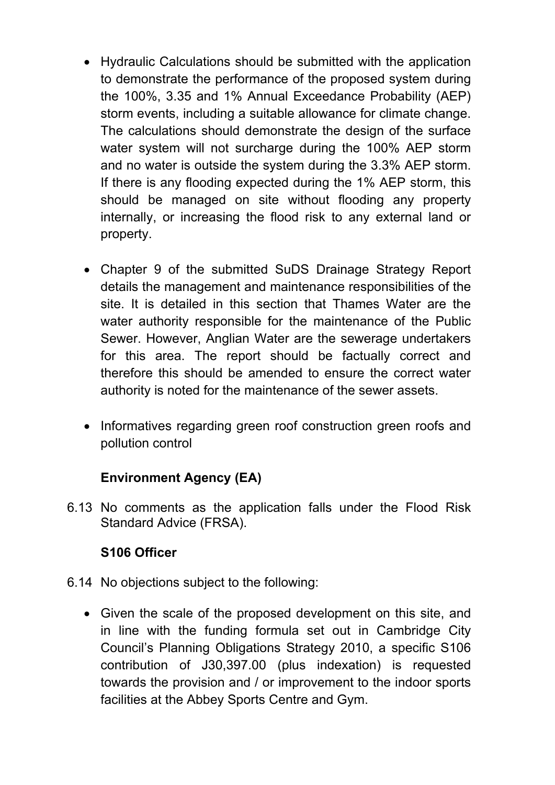- Hydraulic Calculations should be submitted with the application to demonstrate the performance of the proposed system during the 100%, 3.35 and 1% Annual Exceedance Probability (AEP) storm events, including a suitable allowance for climate change. The calculations should demonstrate the design of the surface water system will not surcharge during the 100% AEP storm and no water is outside the system during the 3.3% AEP storm. If there is any flooding expected during the 1% AEP storm, this should be managed on site without flooding any property internally, or increasing the flood risk to any external land or property.
- Chapter 9 of the submitted SuDS Drainage Strategy Report details the management and maintenance responsibilities of the site. It is detailed in this section that Thames Water are the water authority responsible for the maintenance of the Public Sewer. However, Anglian Water are the sewerage undertakers for this area. The report should be factually correct and therefore this should be amended to ensure the correct water authority is noted for the maintenance of the sewer assets.
- Informatives regarding green roof construction green roofs and pollution control

## **Environment Agency (EA)**

6.13 No comments as the application falls under the Flood Risk Standard Advice (FRSA).

## **S106 Officer**

- 6.14 No objections subject to the following:
	- Given the scale of the proposed development on this site, and in line with the funding formula set out in Cambridge City Council's Planning Obligations Strategy 2010, a specific S106 contribution of Ј30,397.00 (plus indexation) is requested towards the provision and / or improvement to the indoor sports facilities at the Abbey Sports Centre and Gym.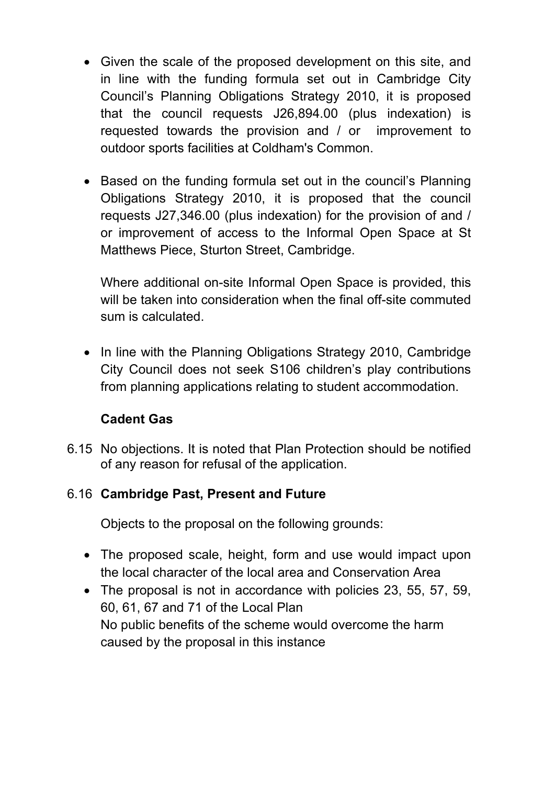- Given the scale of the proposed development on this site, and in line with the funding formula set out in Cambridge City Council's Planning Obligations Strategy 2010, it is proposed that the council requests Ј26,894.00 (plus indexation) is requested towards the provision and / or improvement to outdoor sports facilities at Coldham's Common.
- Based on the funding formula set out in the council's Planning Obligations Strategy 2010, it is proposed that the council requests Ј27,346.00 (plus indexation) for the provision of and / or improvement of access to the Informal Open Space at St Matthews Piece, Sturton Street, Cambridge.

Where additional on-site Informal Open Space is provided, this will be taken into consideration when the final off-site commuted sum is calculated.

• In line with the Planning Obligations Strategy 2010, Cambridge City Council does not seek S106 children's play contributions from planning applications relating to student accommodation.

## **Cadent Gas**

6.15 No objections. It is noted that Plan Protection should be notified of any reason for refusal of the application.

## 6.16 **Cambridge Past, Present and Future**

Objects to the proposal on the following grounds:

- The proposed scale, height, form and use would impact upon the local character of the local area and Conservation Area
- The proposal is not in accordance with policies 23, 55, 57, 59, 60, 61, 67 and 71 of the Local Plan No public benefits of the scheme would overcome the harm caused by the proposal in this instance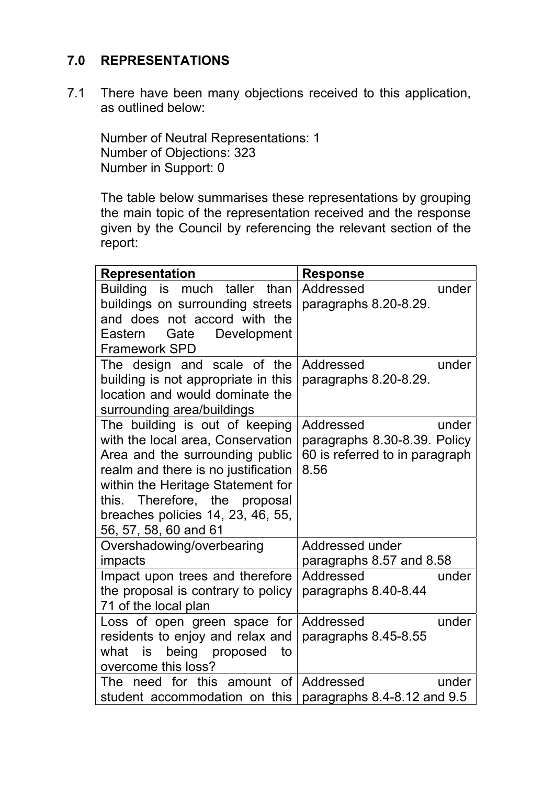## **7.0 REPRESENTATIONS**

7.1 There have been many objections received to this application, as outlined below:

Number of Neutral Representations: 1 Number of Objections: 323 Number in Support: 0

The table below summarises these representations by grouping the main topic of the representation received and the response given by the Council by referencing the relevant section of the report:

| <b>Representation</b>                                        | <b>Response</b>                   |
|--------------------------------------------------------------|-----------------------------------|
| Building is much taller than                                 | Addressed<br>under                |
| buildings on surrounding streets                             | paragraphs 8.20-8.29.             |
| and does not accord with the                                 |                                   |
| Development<br>Gate<br>Eastern                               |                                   |
| <b>Framework SPD</b>                                         |                                   |
| The design and scale of the                                  | Addressed<br>under                |
| building is not appropriate in this                          | paragraphs 8.20-8.29.             |
| location and would dominate the                              |                                   |
| surrounding area/buildings<br>The building is out of keeping | Addressed<br>under                |
| with the local area, Conservation                            | paragraphs 8.30-8.39. Policy      |
| Area and the surrounding public                              | 60 is referred to in paragraph    |
| realm and there is no justification                          | 8.56                              |
| within the Heritage Statement for                            |                                   |
| this. Therefore, the proposal                                |                                   |
| breaches policies 14, 23, 46, 55,                            |                                   |
| 56, 57, 58, 60 and 61                                        |                                   |
| Overshadowing/overbearing                                    | Addressed under                   |
| impacts                                                      | paragraphs 8.57 and 8.58          |
| Impact upon trees and therefore                              | Addressed<br>under                |
| the proposal is contrary to policy                           | paragraphs 8.40-8.44              |
| 71 of the local plan                                         |                                   |
| Loss of open green space for                                 | under<br>Addressed                |
| residents to enjoy and relax and                             | paragraphs 8.45-8.55              |
| being proposed<br>what<br>is<br>to                           |                                   |
| overcome this loss?                                          |                                   |
| The need for this amount of Addressed                        | under                             |
| student accommodation on this                                | paragraphs $8.4 - 8.12$ and $9.5$ |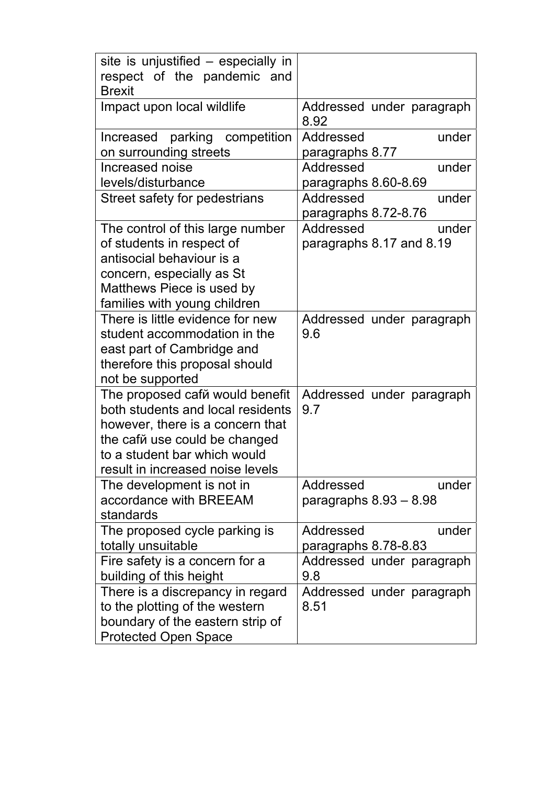| site is unjustified – especially in<br>respect of the pandemic and |                                   |
|--------------------------------------------------------------------|-----------------------------------|
| <b>Brexit</b>                                                      |                                   |
| Impact upon local wildlife                                         | Addressed under paragraph<br>8.92 |
| parking competition<br>Increased                                   | Addressed<br>under                |
| on surrounding streets                                             | paragraphs 8.77                   |
| Increased noise                                                    | Addressed<br>under                |
| levels/disturbance                                                 | paragraphs 8.60-8.69              |
| Street safety for pedestrians                                      | Addressed<br>under                |
|                                                                    | paragraphs 8.72-8.76              |
| The control of this large number                                   | Addressed<br>under                |
| of students in respect of                                          | paragraphs 8.17 and 8.19          |
| antisocial behaviour is a                                          |                                   |
| concern, especially as St                                          |                                   |
| Matthews Piece is used by                                          |                                   |
| families with young children                                       |                                   |
| There is little evidence for new                                   | Addressed under paragraph         |
| student accommodation in the                                       | 9.6                               |
| east part of Cambridge and                                         |                                   |
| therefore this proposal should                                     |                                   |
| not be supported                                                   |                                   |
| The proposed caf <sub>m</sub> would benefit                        | Addressed under paragraph         |
| both students and local residents                                  | 9.7                               |
| however, there is a concern that                                   |                                   |
| the caf <sub>M</sub> use could be changed                          |                                   |
| to a student bar which would                                       |                                   |
| result in increased noise levels                                   |                                   |
| The development is not in                                          | Addressed<br>under                |
| accordance with BREEAM                                             | paragraphs $8.93 - 8.98$          |
| standards                                                          |                                   |
| The proposed cycle parking is                                      | Addressed<br>under                |
| totally unsuitable                                                 | paragraphs 8.78-8.83              |
| Fire safety is a concern for a                                     | Addressed under paragraph         |
| building of this height                                            | 9.8                               |
| There is a discrepancy in regard                                   | Addressed under paragraph         |
| to the plotting of the western                                     | 8.51                              |
| boundary of the eastern strip of                                   |                                   |
| <b>Protected Open Space</b>                                        |                                   |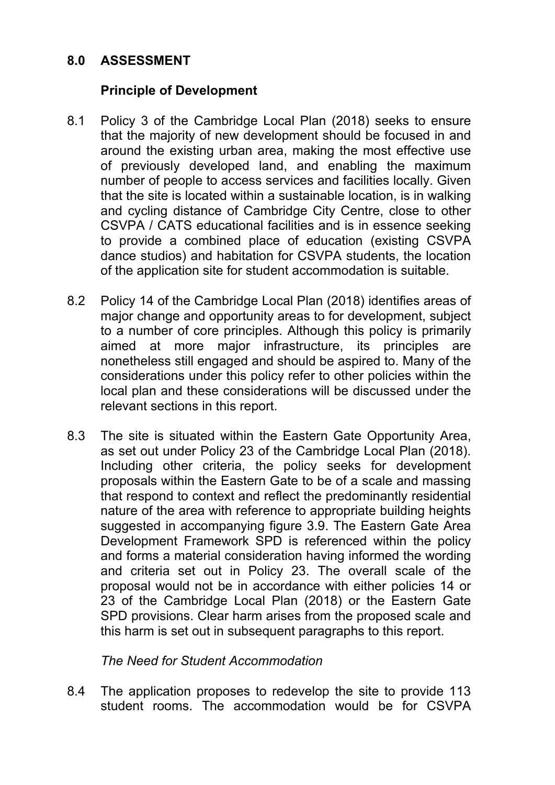## **8.0 ASSESSMENT**

### **Principle of Development**

- 8.1 Policy 3 of the Cambridge Local Plan (2018) seeks to ensure that the majority of new development should be focused in and around the existing urban area, making the most effective use of previously developed land, and enabling the maximum number of people to access services and facilities locally. Given that the site is located within a sustainable location, is in walking and cycling distance of Cambridge City Centre, close to other CSVPA / CATS educational facilities and is in essence seeking to provide a combined place of education (existing CSVPA dance studios) and habitation for CSVPA students, the location of the application site for student accommodation is suitable.
- 8.2 Policy 14 of the Cambridge Local Plan (2018) identifies areas of major change and opportunity areas to for development, subject to a number of core principles. Although this policy is primarily aimed at more major infrastructure, its principles are nonetheless still engaged and should be aspired to. Many of the considerations under this policy refer to other policies within the local plan and these considerations will be discussed under the relevant sections in this report.
- 8.3 The site is situated within the Eastern Gate Opportunity Area, as set out under Policy 23 of the Cambridge Local Plan (2018). Including other criteria, the policy seeks for development proposals within the Eastern Gate to be of a scale and massing that respond to context and reflect the predominantly residential nature of the area with reference to appropriate building heights suggested in accompanying figure 3.9. The Eastern Gate Area Development Framework SPD is referenced within the policy and forms a material consideration having informed the wording and criteria set out in Policy 23. The overall scale of the proposal would not be in accordance with either policies 14 or 23 of the Cambridge Local Plan (2018) or the Eastern Gate SPD provisions. Clear harm arises from the proposed scale and this harm is set out in subsequent paragraphs to this report.

### *The Need for Student Accommodation*

8.4 The application proposes to redevelop the site to provide 113 student rooms. The accommodation would be for CSVPA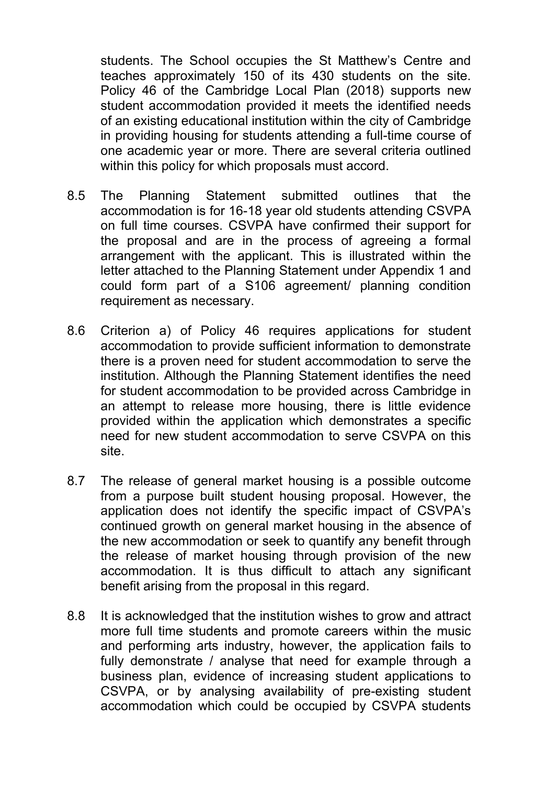students. The School occupies the St Matthew's Centre and teaches approximately 150 of its 430 students on the site. Policy 46 of the Cambridge Local Plan (2018) supports new student accommodation provided it meets the identified needs of an existing educational institution within the city of Cambridge in providing housing for students attending a full-time course of one academic year or more. There are several criteria outlined within this policy for which proposals must accord.

- 8.5 The Planning Statement submitted outlines that the accommodation is for 16-18 year old students attending CSVPA on full time courses. CSVPA have confirmed their support for the proposal and are in the process of agreeing a formal arrangement with the applicant. This is illustrated within the letter attached to the Planning Statement under Appendix 1 and could form part of a S106 agreement/ planning condition requirement as necessary.
- 8.6 Criterion a) of Policy 46 requires applications for student accommodation to provide sufficient information to demonstrate there is a proven need for student accommodation to serve the institution. Although the Planning Statement identifies the need for student accommodation to be provided across Cambridge in an attempt to release more housing, there is little evidence provided within the application which demonstrates a specific need for new student accommodation to serve CSVPA on this site.
- 8.7 The release of general market housing is a possible outcome from a purpose built student housing proposal. However, the application does not identify the specific impact of CSVPA's continued growth on general market housing in the absence of the new accommodation or seek to quantify any benefit through the release of market housing through provision of the new accommodation. It is thus difficult to attach any significant benefit arising from the proposal in this regard.
- 8.8 It is acknowledged that the institution wishes to grow and attract more full time students and promote careers within the music and performing arts industry, however, the application fails to fully demonstrate / analyse that need for example through a business plan, evidence of increasing student applications to CSVPA, or by analysing availability of pre-existing student accommodation which could be occupied by CSVPA students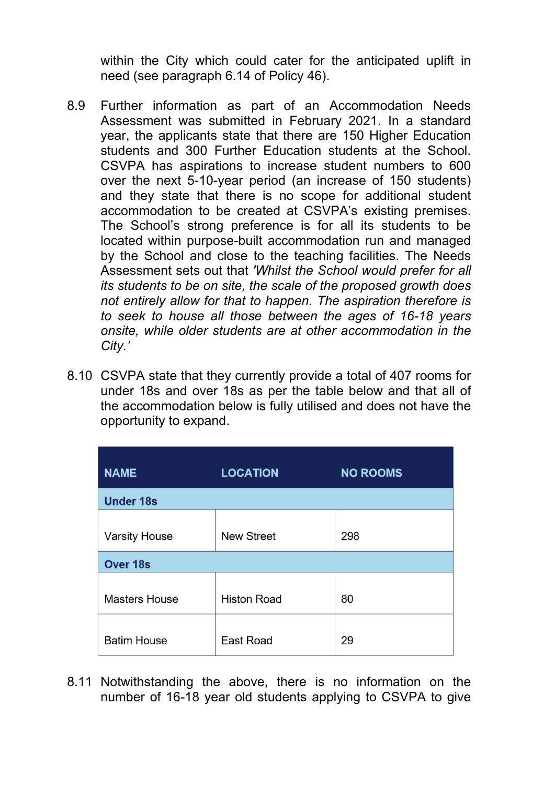within the City which could cater for the anticipated uplift in need (see paragraph 6.14 of Policy 46).

- 8.9 Further information as part of an Accommodation Needs Assessment was submitted in February 2021. In a standard year, the applicants state that there are 150 Higher Education students and 300 Further Education students at the School. CSVPA has aspirations to increase student numbers to 600 over the next 5-10-year period (an increase of 150 students) and they state that there is no scope for additional student accommodation to be created at CSVPA's existing premises. The School's strong preference is for all its students to be located within purpose-built accommodation run and managed by the School and close to the teaching facilities. The Needs Assessment sets out that *'Whilst the School would prefer for all its students to be on site, the scale of the proposed growth does not entirely allow for that to happen. The aspiration therefore is to seek to house all those between the ages of 16-18 years onsite, while older students are at other accommodation in the City.'*
- 8.10 CSVPA state that they currently provide a total of 407 rooms for under 18s and over 18s as per the table below and that all of the accommodation below is fully utilised and does not have the opportunity to expand.

| <b>NAME</b>          | <b>LOCATION</b>    | <b>NO ROOMS</b> |  |  |
|----------------------|--------------------|-----------------|--|--|
| <b>Under 18s</b>     |                    |                 |  |  |
| <b>Varsity House</b> | <b>New Street</b>  | 298             |  |  |
| <b>Over 18s</b>      |                    |                 |  |  |
| <b>Masters House</b> | <b>Histon Road</b> | 80              |  |  |
| <b>Batim House</b>   | East Road          | 29              |  |  |

8.11 Notwithstanding the above, there is no information on the number of 16-18 year old students applying to CSVPA to give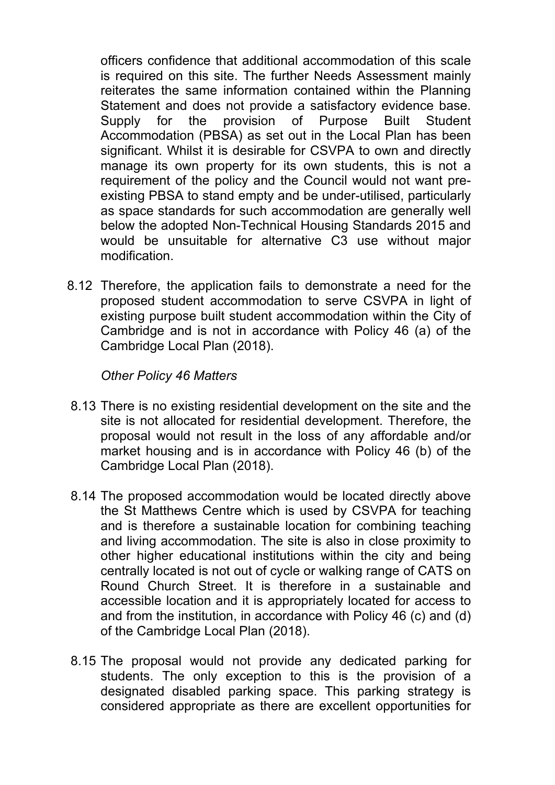officers confidence that additional accommodation of this scale is required on this site. The further Needs Assessment mainly reiterates the same information contained within the Planning Statement and does not provide a satisfactory evidence base. Supply for the provision of Purpose Built Student Accommodation (PBSA) as set out in the Local Plan has been significant. Whilst it is desirable for CSVPA to own and directly manage its own property for its own students, this is not a requirement of the policy and the Council would not want preexisting PBSA to stand empty and be under-utilised, particularly as space standards for such accommodation are generally well below the adopted Non-Technical Housing Standards 2015 and would be unsuitable for alternative C3 use without major modification.

8.12 Therefore, the application fails to demonstrate a need for the proposed student accommodation to serve CSVPA in light of existing purpose built student accommodation within the City of Cambridge and is not in accordance with Policy 46 (a) of the Cambridge Local Plan (2018).

#### *Other Policy 46 Matters*

- 8.13 There is no existing residential development on the site and the site is not allocated for residential development. Therefore, the proposal would not result in the loss of any affordable and/or market housing and is in accordance with Policy 46 (b) of the Cambridge Local Plan (2018).
- 8.14 The proposed accommodation would be located directly above the St Matthews Centre which is used by CSVPA for teaching and is therefore a sustainable location for combining teaching and living accommodation. The site is also in close proximity to other higher educational institutions within the city and being centrally located is not out of cycle or walking range of CATS on Round Church Street. It is therefore in a sustainable and accessible location and it is appropriately located for access to and from the institution, in accordance with Policy 46 (c) and (d) of the Cambridge Local Plan (2018).
- 8.15 The proposal would not provide any dedicated parking for students. The only exception to this is the provision of a designated disabled parking space. This parking strategy is considered appropriate as there are excellent opportunities for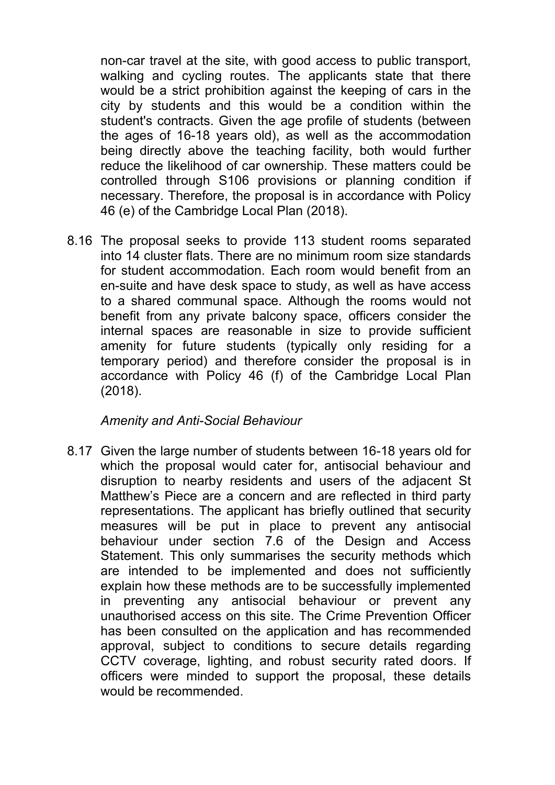non-car travel at the site, with good access to public transport, walking and cycling routes. The applicants state that there would be a strict prohibition against the keeping of cars in the city by students and this would be a condition within the student's contracts. Given the age profile of students (between the ages of 16-18 years old), as well as the accommodation being directly above the teaching facility, both would further reduce the likelihood of car ownership. These matters could be controlled through S106 provisions or planning condition if necessary. Therefore, the proposal is in accordance with Policy 46 (e) of the Cambridge Local Plan (2018).

8.16 The proposal seeks to provide 113 student rooms separated into 14 cluster flats. There are no minimum room size standards for student accommodation. Each room would benefit from an en-suite and have desk space to study, as well as have access to a shared communal space. Although the rooms would not benefit from any private balcony space, officers consider the internal spaces are reasonable in size to provide sufficient amenity for future students (typically only residing for a temporary period) and therefore consider the proposal is in accordance with Policy 46 (f) of the Cambridge Local Plan (2018).

#### *Amenity and Anti-Social Behaviour*

8.17 Given the large number of students between 16-18 years old for which the proposal would cater for, antisocial behaviour and disruption to nearby residents and users of the adjacent St Matthew's Piece are a concern and are reflected in third party representations. The applicant has briefly outlined that security measures will be put in place to prevent any antisocial behaviour under section 7.6 of the Design and Access Statement. This only summarises the security methods which are intended to be implemented and does not sufficiently explain how these methods are to be successfully implemented in preventing any antisocial behaviour or prevent any unauthorised access on this site. The Crime Prevention Officer has been consulted on the application and has recommended approval, subject to conditions to secure details regarding CCTV coverage, lighting, and robust security rated doors. If officers were minded to support the proposal, these details would be recommended.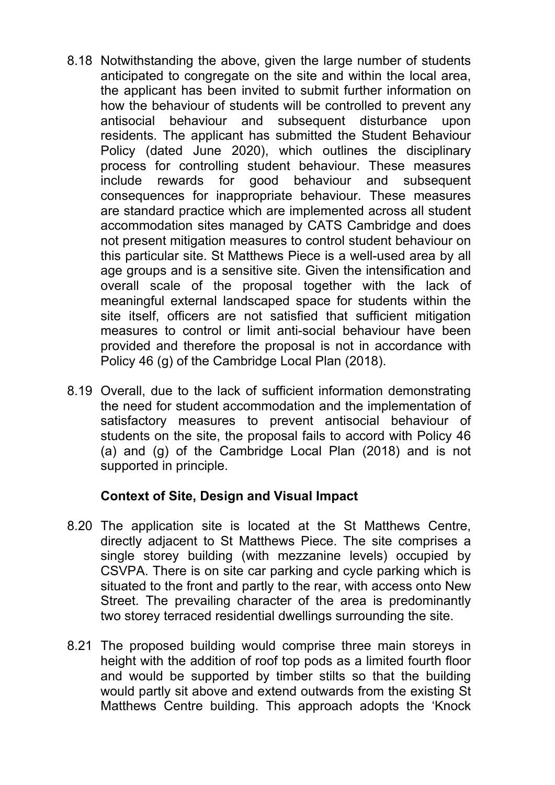- 8.18 Notwithstanding the above, given the large number of students anticipated to congregate on the site and within the local area, the applicant has been invited to submit further information on how the behaviour of students will be controlled to prevent any antisocial behaviour and subsequent disturbance upon residents. The applicant has submitted the Student Behaviour Policy (dated June 2020), which outlines the disciplinary process for controlling student behaviour. These measures include rewards for good behaviour and subsequent consequences for inappropriate behaviour. These measures are standard practice which are implemented across all student accommodation sites managed by CATS Cambridge and does not present mitigation measures to control student behaviour on this particular site. St Matthews Piece is a well-used area by all age groups and is a sensitive site. Given the intensification and overall scale of the proposal together with the lack of meaningful external landscaped space for students within the site itself, officers are not satisfied that sufficient mitigation measures to control or limit anti-social behaviour have been provided and therefore the proposal is not in accordance with Policy 46 (g) of the Cambridge Local Plan (2018).
- 8.19 Overall, due to the lack of sufficient information demonstrating the need for student accommodation and the implementation of satisfactory measures to prevent antisocial behaviour of students on the site, the proposal fails to accord with Policy 46 (a) and (g) of the Cambridge Local Plan (2018) and is not supported in principle.

### **Context of Site, Design and Visual Impact**

- 8.20 The application site is located at the St Matthews Centre, directly adjacent to St Matthews Piece. The site comprises a single storey building (with mezzanine levels) occupied by CSVPA. There is on site car parking and cycle parking which is situated to the front and partly to the rear, with access onto New Street. The prevailing character of the area is predominantly two storey terraced residential dwellings surrounding the site.
- 8.21 The proposed building would comprise three main storeys in height with the addition of roof top pods as a limited fourth floor and would be supported by timber stilts so that the building would partly sit above and extend outwards from the existing St Matthews Centre building. This approach adopts the 'Knock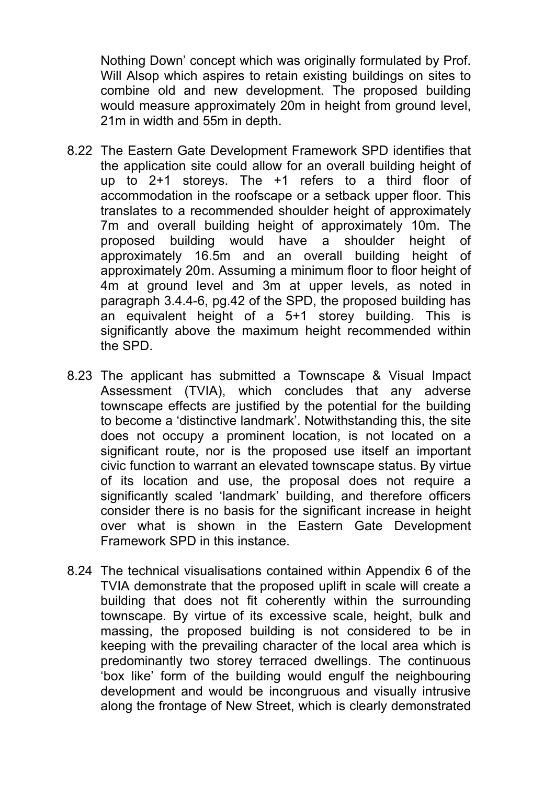Nothing Down' concept which was originally formulated by Prof. Will Alsop which aspires to retain existing buildings on sites to combine old and new development. The proposed building would measure approximately 20m in height from ground level, 21m in width and 55m in depth.

- 8.22 The Eastern Gate Development Framework SPD identifies that the application site could allow for an overall building height of up to 2+1 storeys. The +1 refers to a third floor of accommodation in the roofscape or a setback upper floor. This translates to a recommended shoulder height of approximately 7m and overall building height of approximately 10m. The proposed building would have a shoulder height of approximately 16.5m and an overall building height of approximately 20m. Assuming a minimum floor to floor height of 4m at ground level and 3m at upper levels, as noted in paragraph 3.4.4-6, pg.42 of the SPD, the proposed building has an equivalent height of a 5+1 storey building. This is significantly above the maximum height recommended within the SPD.
- 8.23 The applicant has submitted a Townscape & Visual Impact Assessment (TVIA), which concludes that any adverse townscape effects are justified by the potential for the building to become a 'distinctive landmark'. Notwithstanding this, the site does not occupy a prominent location, is not located on a significant route, nor is the proposed use itself an important civic function to warrant an elevated townscape status. By virtue of its location and use, the proposal does not require a significantly scaled 'landmark' building, and therefore officers consider there is no basis for the significant increase in height over what is shown in the Eastern Gate Development Framework SPD in this instance.
- 8.24 The technical visualisations contained within Appendix 6 of the TVIA demonstrate that the proposed uplift in scale will create a building that does not fit coherently within the surrounding townscape. By virtue of its excessive scale, height, bulk and massing, the proposed building is not considered to be in keeping with the prevailing character of the local area which is predominantly two storey terraced dwellings. The continuous 'box like' form of the building would engulf the neighbouring development and would be incongruous and visually intrusive along the frontage of New Street, which is clearly demonstrated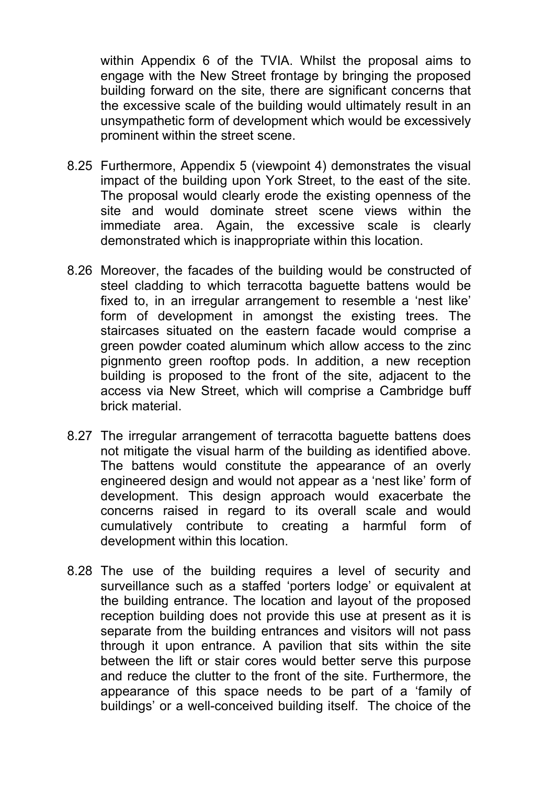within Appendix 6 of the TVIA. Whilst the proposal aims to engage with the New Street frontage by bringing the proposed building forward on the site, there are significant concerns that the excessive scale of the building would ultimately result in an unsympathetic form of development which would be excessively prominent within the street scene.

- 8.25 Furthermore, Appendix 5 (viewpoint 4) demonstrates the visual impact of the building upon York Street, to the east of the site. The proposal would clearly erode the existing openness of the site and would dominate street scene views within the immediate area. Again, the excessive scale is clearly demonstrated which is inappropriate within this location.
- 8.26 Moreover, the facades of the building would be constructed of steel cladding to which terracotta baguette battens would be fixed to, in an irregular arrangement to resemble a 'nest like' form of development in amongst the existing trees. The staircases situated on the eastern facade would comprise a green powder coated aluminum which allow access to the zinc pignmento green rooftop pods. In addition, a new reception building is proposed to the front of the site, adjacent to the access via New Street, which will comprise a Cambridge buff brick material.
- 8.27 The irregular arrangement of terracotta baguette battens does not mitigate the visual harm of the building as identified above. The battens would constitute the appearance of an overly engineered design and would not appear as a 'nest like' form of development. This design approach would exacerbate the concerns raised in regard to its overall scale and would cumulatively contribute to creating a harmful form of development within this location.
- 8.28 The use of the building requires a level of security and surveillance such as a staffed 'porters lodge' or equivalent at the building entrance. The location and layout of the proposed reception building does not provide this use at present as it is separate from the building entrances and visitors will not pass through it upon entrance. A pavilion that sits within the site between the lift or stair cores would better serve this purpose and reduce the clutter to the front of the site. Furthermore, the appearance of this space needs to be part of a 'family of buildings' or a well-conceived building itself. The choice of the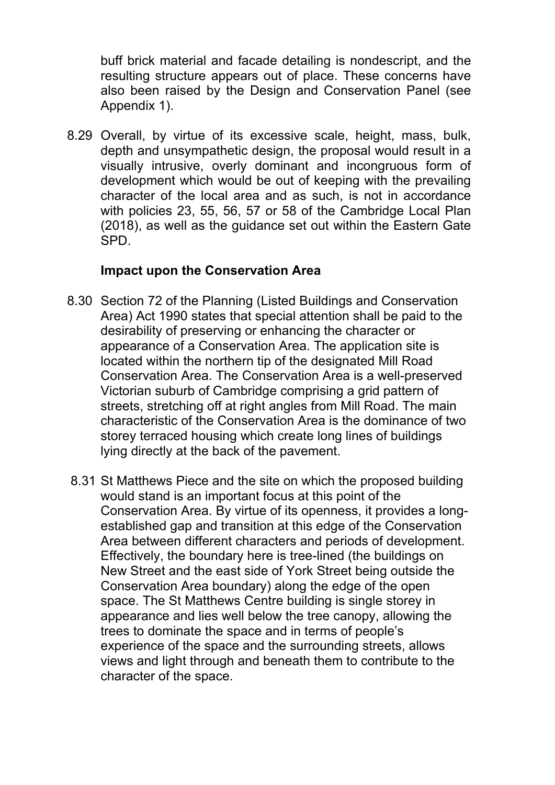buff brick material and facade detailing is nondescript, and the resulting structure appears out of place. These concerns have also been raised by the Design and Conservation Panel (see Appendix 1).

8.29 Overall, by virtue of its excessive scale, height, mass, bulk, depth and unsympathetic design, the proposal would result in a visually intrusive, overly dominant and incongruous form of development which would be out of keeping with the prevailing character of the local area and as such, is not in accordance with policies 23, 55, 56, 57 or 58 of the Cambridge Local Plan (2018), as well as the guidance set out within the Eastern Gate SPD.

### **Impact upon the Conservation Area**

- 8.30 Section 72 of the Planning (Listed Buildings and Conservation Area) Act 1990 states that special attention shall be paid to the desirability of preserving or enhancing the character or appearance of a Conservation Area. The application site is located within the northern tip of the designated Mill Road Conservation Area. The Conservation Area is a well-preserved Victorian suburb of Cambridge comprising a grid pattern of streets, stretching off at right angles from Mill Road. The main characteristic of the Conservation Area is the dominance of two storey terraced housing which create long lines of buildings lying directly at the back of the pavement.
- 8.31 St Matthews Piece and the site on which the proposed building would stand is an important focus at this point of the Conservation Area. By virtue of its openness, it provides a longestablished gap and transition at this edge of the Conservation Area between different characters and periods of development. Effectively, the boundary here is tree-lined (the buildings on New Street and the east side of York Street being outside the Conservation Area boundary) along the edge of the open space. The St Matthews Centre building is single storey in appearance and lies well below the tree canopy, allowing the trees to dominate the space and in terms of people's experience of the space and the surrounding streets, allows views and light through and beneath them to contribute to the character of the space.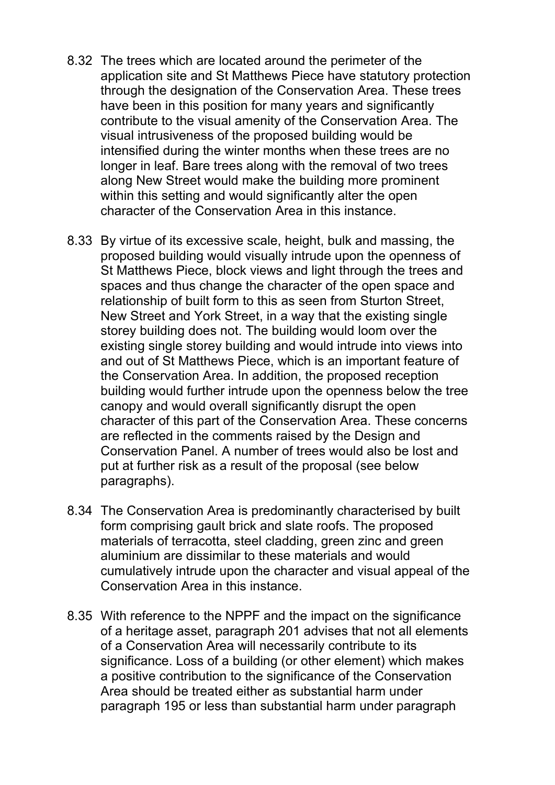- 8.32 The trees which are located around the perimeter of the application site and St Matthews Piece have statutory protection through the designation of the Conservation Area. These trees have been in this position for many years and significantly contribute to the visual amenity of the Conservation Area. The visual intrusiveness of the proposed building would be intensified during the winter months when these trees are no longer in leaf. Bare trees along with the removal of two trees along New Street would make the building more prominent within this setting and would significantly alter the open character of the Conservation Area in this instance.
- 8.33 By virtue of its excessive scale, height, bulk and massing, the proposed building would visually intrude upon the openness of St Matthews Piece, block views and light through the trees and spaces and thus change the character of the open space and relationship of built form to this as seen from Sturton Street, New Street and York Street, in a way that the existing single storey building does not. The building would loom over the existing single storey building and would intrude into views into and out of St Matthews Piece, which is an important feature of the Conservation Area. In addition, the proposed reception building would further intrude upon the openness below the tree canopy and would overall significantly disrupt the open character of this part of the Conservation Area. These concerns are reflected in the comments raised by the Design and Conservation Panel. A number of trees would also be lost and put at further risk as a result of the proposal (see below paragraphs).
- 8.34 The Conservation Area is predominantly characterised by built form comprising gault brick and slate roofs. The proposed materials of terracotta, steel cladding, green zinc and green aluminium are dissimilar to these materials and would cumulatively intrude upon the character and visual appeal of the Conservation Area in this instance.
- 8.35 With reference to the NPPF and the impact on the significance of a heritage asset, paragraph 201 advises that not all elements of a Conservation Area will necessarily contribute to its significance. Loss of a building (or other element) which makes a positive contribution to the significance of the Conservation Area should be treated either as substantial harm under paragraph 195 or less than substantial harm under paragraph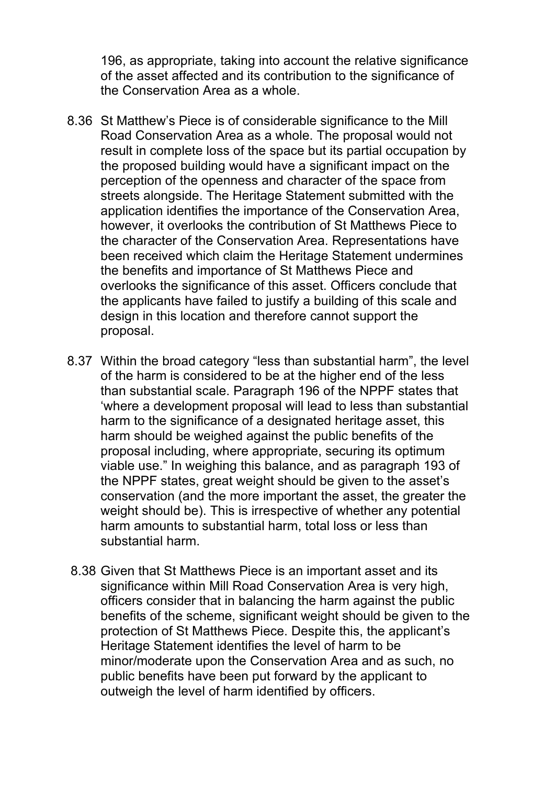196, as appropriate, taking into account the relative significance of the asset affected and its contribution to the significance of the Conservation Area as a whole.

- 8.36 St Matthew's Piece is of considerable significance to the Mill Road Conservation Area as a whole. The proposal would not result in complete loss of the space but its partial occupation by the proposed building would have a significant impact on the perception of the openness and character of the space from streets alongside. The Heritage Statement submitted with the application identifies the importance of the Conservation Area, however, it overlooks the contribution of St Matthews Piece to the character of the Conservation Area. Representations have been received which claim the Heritage Statement undermines the benefits and importance of St Matthews Piece and overlooks the significance of this asset. Officers conclude that the applicants have failed to justify a building of this scale and design in this location and therefore cannot support the proposal.
- 8.37 Within the broad category "less than substantial harm", the level of the harm is considered to be at the higher end of the less than substantial scale. Paragraph 196 of the NPPF states that 'where a development proposal will lead to less than substantial harm to the significance of a designated heritage asset, this harm should be weighed against the public benefits of the proposal including, where appropriate, securing its optimum viable use." In weighing this balance, and as paragraph 193 of the NPPF states, great weight should be given to the asset's conservation (and the more important the asset, the greater the weight should be). This is irrespective of whether any potential harm amounts to substantial harm, total loss or less than substantial harm.
- 8.38 Given that St Matthews Piece is an important asset and its significance within Mill Road Conservation Area is very high, officers consider that in balancing the harm against the public benefits of the scheme, significant weight should be given to the protection of St Matthews Piece. Despite this, the applicant's Heritage Statement identifies the level of harm to be minor/moderate upon the Conservation Area and as such, no public benefits have been put forward by the applicant to outweigh the level of harm identified by officers.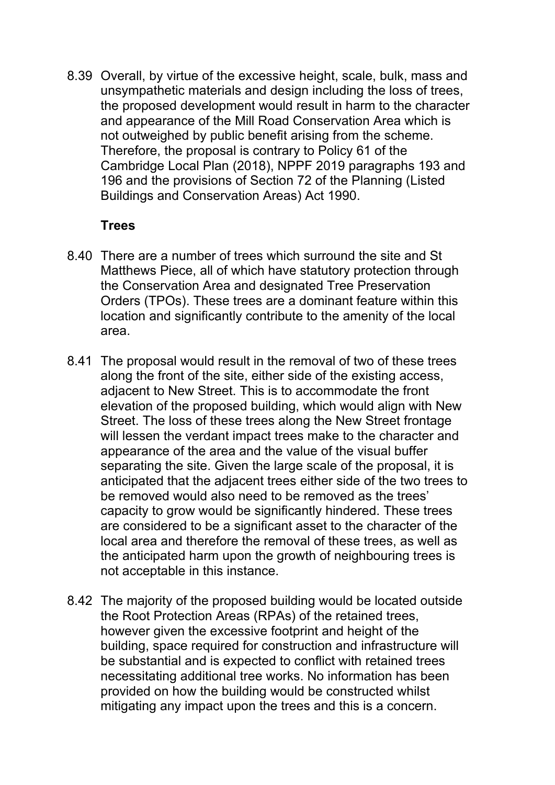8.39 Overall, by virtue of the excessive height, scale, bulk, mass and unsympathetic materials and design including the loss of trees, the proposed development would result in harm to the character and appearance of the Mill Road Conservation Area which is not outweighed by public benefit arising from the scheme. Therefore, the proposal is contrary to Policy 61 of the Cambridge Local Plan (2018), NPPF 2019 paragraphs 193 and 196 and the provisions of Section 72 of the Planning (Listed Buildings and Conservation Areas) Act 1990.

### **Trees**

- 8.40 There are a number of trees which surround the site and St Matthews Piece, all of which have statutory protection through the Conservation Area and designated Tree Preservation Orders (TPOs). These trees are a dominant feature within this location and significantly contribute to the amenity of the local area.
- 8.41 The proposal would result in the removal of two of these trees along the front of the site, either side of the existing access, adjacent to New Street. This is to accommodate the front elevation of the proposed building, which would align with New Street. The loss of these trees along the New Street frontage will lessen the verdant impact trees make to the character and appearance of the area and the value of the visual buffer separating the site. Given the large scale of the proposal, it is anticipated that the adjacent trees either side of the two trees to be removed would also need to be removed as the trees' capacity to grow would be significantly hindered. These trees are considered to be a significant asset to the character of the local area and therefore the removal of these trees, as well as the anticipated harm upon the growth of neighbouring trees is not acceptable in this instance.
- 8.42 The majority of the proposed building would be located outside the Root Protection Areas (RPAs) of the retained trees, however given the excessive footprint and height of the building, space required for construction and infrastructure will be substantial and is expected to conflict with retained trees necessitating additional tree works. No information has been provided on how the building would be constructed whilst mitigating any impact upon the trees and this is a concern.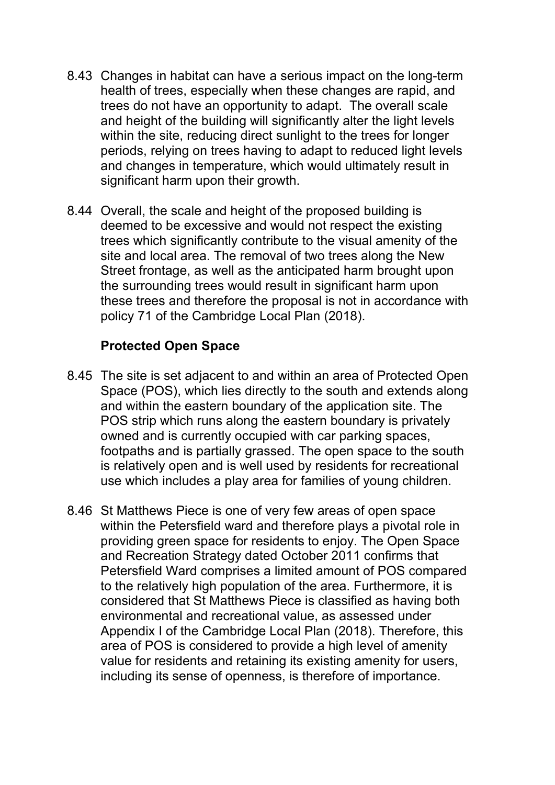- 8.43 Changes in habitat can have a serious impact on the long-term health of trees, especially when these changes are rapid, and trees do not have an opportunity to adapt. The overall scale and height of the building will significantly alter the light levels within the site, reducing direct sunlight to the trees for longer periods, relying on trees having to adapt to reduced light levels and changes in temperature, which would ultimately result in significant harm upon their growth.
- 8.44 Overall, the scale and height of the proposed building is deemed to be excessive and would not respect the existing trees which significantly contribute to the visual amenity of the site and local area. The removal of two trees along the New Street frontage, as well as the anticipated harm brought upon the surrounding trees would result in significant harm upon these trees and therefore the proposal is not in accordance with policy 71 of the Cambridge Local Plan (2018).

#### **Protected Open Space**

- 8.45 The site is set adjacent to and within an area of Protected Open Space (POS), which lies directly to the south and extends along and within the eastern boundary of the application site. The POS strip which runs along the eastern boundary is privately owned and is currently occupied with car parking spaces, footpaths and is partially grassed. The open space to the south is relatively open and is well used by residents for recreational use which includes a play area for families of young children.
- 8.46 St Matthews Piece is one of very few areas of open space within the Petersfield ward and therefore plays a pivotal role in providing green space for residents to enjoy. The Open Space and Recreation Strategy dated October 2011 confirms that Petersfield Ward comprises a limited amount of POS compared to the relatively high population of the area. Furthermore, it is considered that St Matthews Piece is classified as having both environmental and recreational value, as assessed under Appendix I of the Cambridge Local Plan (2018). Therefore, this area of POS is considered to provide a high level of amenity value for residents and retaining its existing amenity for users, including its sense of openness, is therefore of importance.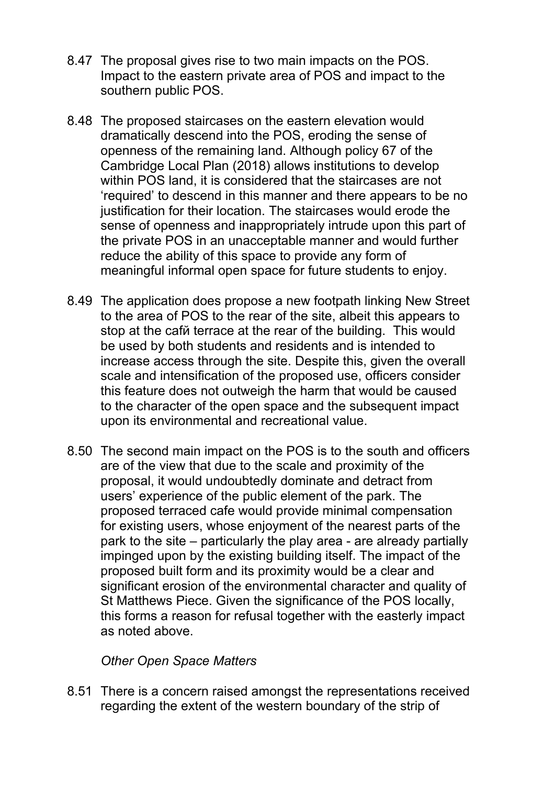- 8.47 The proposal gives rise to two main impacts on the POS. Impact to the eastern private area of POS and impact to the southern public POS.
- 8.48 The proposed staircases on the eastern elevation would dramatically descend into the POS, eroding the sense of openness of the remaining land. Although policy 67 of the Cambridge Local Plan (2018) allows institutions to develop within POS land, it is considered that the staircases are not 'required' to descend in this manner and there appears to be no justification for their location. The staircases would erode the sense of openness and inappropriately intrude upon this part of the private POS in an unacceptable manner and would further reduce the ability of this space to provide any form of meaningful informal open space for future students to enjoy.
- 8.49 The application does propose a new footpath linking New Street to the area of POS to the rear of the site, albeit this appears to stop at the cafй terrace at the rear of the building. This would be used by both students and residents and is intended to increase access through the site. Despite this, given the overall scale and intensification of the proposed use, officers consider this feature does not outweigh the harm that would be caused to the character of the open space and the subsequent impact upon its environmental and recreational value.
- 8.50 The second main impact on the POS is to the south and officers are of the view that due to the scale and proximity of the proposal, it would undoubtedly dominate and detract from users' experience of the public element of the park. The proposed terraced cafe would provide minimal compensation for existing users, whose enjoyment of the nearest parts of the park to the site – particularly the play area - are already partially impinged upon by the existing building itself. The impact of the proposed built form and its proximity would be a clear and significant erosion of the environmental character and quality of St Matthews Piece. Given the significance of the POS locally, this forms a reason for refusal together with the easterly impact as noted above.

#### *Other Open Space Matters*

8.51 There is a concern raised amongst the representations received regarding the extent of the western boundary of the strip of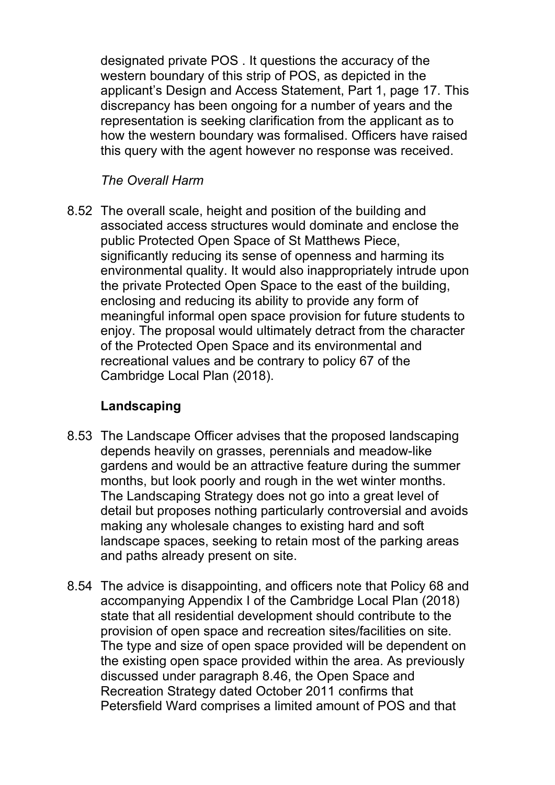designated private POS . It questions the accuracy of the western boundary of this strip of POS, as depicted in the applicant's Design and Access Statement, Part 1, page 17. This discrepancy has been ongoing for a number of years and the representation is seeking clarification from the applicant as to how the western boundary was formalised. Officers have raised this query with the agent however no response was received.

### *The Overall Harm*

8.52 The overall scale, height and position of the building and associated access structures would dominate and enclose the public Protected Open Space of St Matthews Piece, significantly reducing its sense of openness and harming its environmental quality. It would also inappropriately intrude upon the private Protected Open Space to the east of the building, enclosing and reducing its ability to provide any form of meaningful informal open space provision for future students to enjoy. The proposal would ultimately detract from the character of the Protected Open Space and its environmental and recreational values and be contrary to policy 67 of the Cambridge Local Plan (2018).

## **Landscaping**

- 8.53 The Landscape Officer advises that the proposed landscaping depends heavily on grasses, perennials and meadow-like gardens and would be an attractive feature during the summer months, but look poorly and rough in the wet winter months. The Landscaping Strategy does not go into a great level of detail but proposes nothing particularly controversial and avoids making any wholesale changes to existing hard and soft landscape spaces, seeking to retain most of the parking areas and paths already present on site.
- 8.54 The advice is disappointing, and officers note that Policy 68 and accompanying Appendix I of the Cambridge Local Plan (2018) state that all residential development should contribute to the provision of open space and recreation sites/facilities on site. The type and size of open space provided will be dependent on the existing open space provided within the area. As previously discussed under paragraph 8.46, the Open Space and Recreation Strategy dated October 2011 confirms that Petersfield Ward comprises a limited amount of POS and that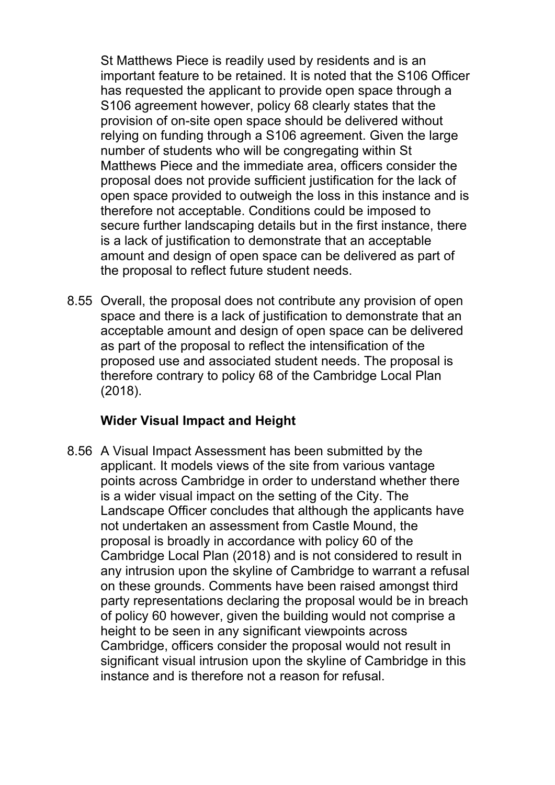St Matthews Piece is readily used by residents and is an important feature to be retained. It is noted that the S106 Officer has requested the applicant to provide open space through a S106 agreement however, policy 68 clearly states that the provision of on-site open space should be delivered without relying on funding through a S106 agreement. Given the large number of students who will be congregating within St Matthews Piece and the immediate area, officers consider the proposal does not provide sufficient justification for the lack of open space provided to outweigh the loss in this instance and is therefore not acceptable. Conditions could be imposed to secure further landscaping details but in the first instance, there is a lack of justification to demonstrate that an acceptable amount and design of open space can be delivered as part of the proposal to reflect future student needs.

8.55 Overall, the proposal does not contribute any provision of open space and there is a lack of justification to demonstrate that an acceptable amount and design of open space can be delivered as part of the proposal to reflect the intensification of the proposed use and associated student needs. The proposal is therefore contrary to policy 68 of the Cambridge Local Plan (2018).

## **Wider Visual Impact and Height**

8.56 A Visual Impact Assessment has been submitted by the applicant. It models views of the site from various vantage points across Cambridge in order to understand whether there is a wider visual impact on the setting of the City. The Landscape Officer concludes that although the applicants have not undertaken an assessment from Castle Mound, the proposal is broadly in accordance with policy 60 of the Cambridge Local Plan (2018) and is not considered to result in any intrusion upon the skyline of Cambridge to warrant a refusal on these grounds. Comments have been raised amongst third party representations declaring the proposal would be in breach of policy 60 however, given the building would not comprise a height to be seen in any significant viewpoints across Cambridge, officers consider the proposal would not result in significant visual intrusion upon the skyline of Cambridge in this instance and is therefore not a reason for refusal.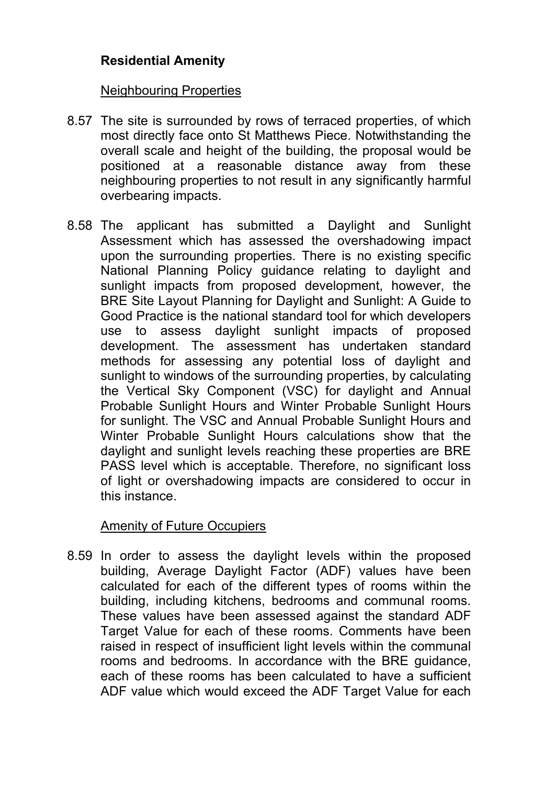## **Residential Amenity**

#### Neighbouring Properties

- 8.57 The site is surrounded by rows of terraced properties, of which most directly face onto St Matthews Piece. Notwithstanding the overall scale and height of the building, the proposal would be positioned at a reasonable distance away from these neighbouring properties to not result in any significantly harmful overbearing impacts.
- 8.58 The applicant has submitted a Daylight and Sunlight Assessment which has assessed the overshadowing impact upon the surrounding properties. There is no existing specific National Planning Policy guidance relating to daylight and sunlight impacts from proposed development, however, the BRE Site Layout Planning for Daylight and Sunlight: A Guide to Good Practice is the national standard tool for which developers use to assess daylight sunlight impacts of proposed development. The assessment has undertaken standard methods for assessing any potential loss of daylight and sunlight to windows of the surrounding properties, by calculating the Vertical Sky Component (VSC) for daylight and Annual Probable Sunlight Hours and Winter Probable Sunlight Hours for sunlight. The VSC and Annual Probable Sunlight Hours and Winter Probable Sunlight Hours calculations show that the daylight and sunlight levels reaching these properties are BRE PASS level which is acceptable. Therefore, no significant loss of light or overshadowing impacts are considered to occur in this instance.

### Amenity of Future Occupiers

8.59 In order to assess the daylight levels within the proposed building, Average Daylight Factor (ADF) values have been calculated for each of the different types of rooms within the building, including kitchens, bedrooms and communal rooms. These values have been assessed against the standard ADF Target Value for each of these rooms. Comments have been raised in respect of insufficient light levels within the communal rooms and bedrooms. In accordance with the BRE guidance, each of these rooms has been calculated to have a sufficient ADF value which would exceed the ADF Target Value for each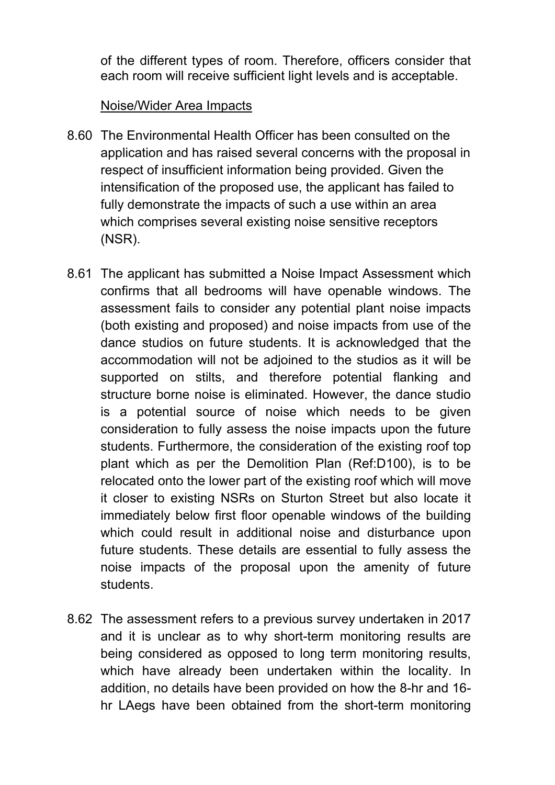of the different types of room. Therefore, officers consider that each room will receive sufficient light levels and is acceptable.

#### Noise/Wider Area Impacts

- 8.60 The Environmental Health Officer has been consulted on the application and has raised several concerns with the proposal in respect of insufficient information being provided. Given the intensification of the proposed use, the applicant has failed to fully demonstrate the impacts of such a use within an area which comprises several existing noise sensitive receptors (NSR).
- 8.61 The applicant has submitted a Noise Impact Assessment which confirms that all bedrooms will have openable windows. The assessment fails to consider any potential plant noise impacts (both existing and proposed) and noise impacts from use of the dance studios on future students. It is acknowledged that the accommodation will not be adjoined to the studios as it will be supported on stilts, and therefore potential flanking and structure borne noise is eliminated. However, the dance studio is a potential source of noise which needs to be given consideration to fully assess the noise impacts upon the future students. Furthermore, the consideration of the existing roof top plant which as per the Demolition Plan (Ref:D100), is to be relocated onto the lower part of the existing roof which will move it closer to existing NSRs on Sturton Street but also locate it immediately below first floor openable windows of the building which could result in additional noise and disturbance upon future students. These details are essential to fully assess the noise impacts of the proposal upon the amenity of future students.
- 8.62 The assessment refers to a previous survey undertaken in 2017 and it is unclear as to why short-term monitoring results are being considered as opposed to long term monitoring results, which have already been undertaken within the locality. In addition, no details have been provided on how the 8-hr and 16 hr LAegs have been obtained from the short-term monitoring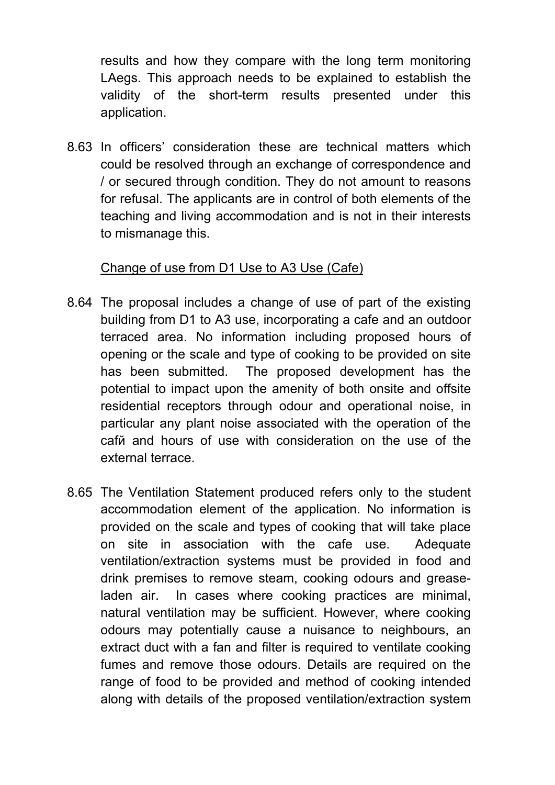results and how they compare with the long term monitoring LAegs. This approach needs to be explained to establish the validity of the short-term results presented under this application.

8.63 In officers' consideration these are technical matters which could be resolved through an exchange of correspondence and / or secured through condition. They do not amount to reasons for refusal. The applicants are in control of both elements of the teaching and living accommodation and is not in their interests to mismanage this.

### Change of use from D1 Use to A3 Use (Cafe)

- 8.64 The proposal includes a change of use of part of the existing building from D1 to A3 use, incorporating a cafe and an outdoor terraced area. No information including proposed hours of opening or the scale and type of cooking to be provided on site has been submitted. The proposed development has the potential to impact upon the amenity of both onsite and offsite residential receptors through odour and operational noise, in particular any plant noise associated with the operation of the cafй and hours of use with consideration on the use of the external terrace.
- 8.65 The Ventilation Statement produced refers only to the student accommodation element of the application. No information is provided on the scale and types of cooking that will take place on site in association with the cafe use. Adequate ventilation/extraction systems must be provided in food and drink premises to remove steam, cooking odours and greaseladen air. In cases where cooking practices are minimal, natural ventilation may be sufficient. However, where cooking odours may potentially cause a nuisance to neighbours, an extract duct with a fan and filter is required to ventilate cooking fumes and remove those odours. Details are required on the range of food to be provided and method of cooking intended along with details of the proposed ventilation/extraction system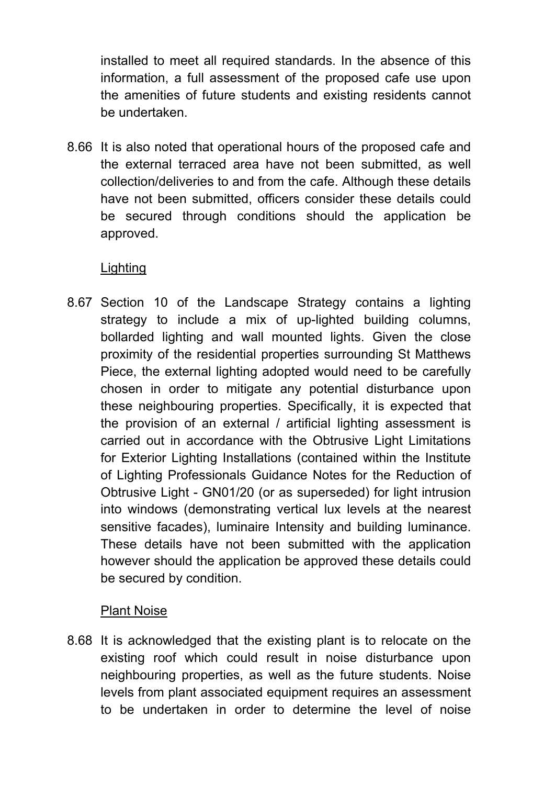installed to meet all required standards. In the absence of this information, a full assessment of the proposed cafe use upon the amenities of future students and existing residents cannot be undertaken.

8.66 It is also noted that operational hours of the proposed cafe and the external terraced area have not been submitted, as well collection/deliveries to and from the cafe. Although these details have not been submitted, officers consider these details could be secured through conditions should the application be approved.

### **Lighting**

8.67 Section 10 of the Landscape Strategy contains a lighting strategy to include a mix of up-lighted building columns, bollarded lighting and wall mounted lights. Given the close proximity of the residential properties surrounding St Matthews Piece, the external lighting adopted would need to be carefully chosen in order to mitigate any potential disturbance upon these neighbouring properties. Specifically, it is expected that the provision of an external / artificial lighting assessment is carried out in accordance with the Obtrusive Light Limitations for Exterior Lighting Installations (contained within the Institute of Lighting Professionals Guidance Notes for the Reduction of Obtrusive Light - GN01/20 (or as superseded) for light intrusion into windows (demonstrating vertical lux levels at the nearest sensitive facades), luminaire Intensity and building luminance. These details have not been submitted with the application however should the application be approved these details could be secured by condition.

### Plant Noise

8.68 It is acknowledged that the existing plant is to relocate on the existing roof which could result in noise disturbance upon neighbouring properties, as well as the future students. Noise levels from plant associated equipment requires an assessment to be undertaken in order to determine the level of noise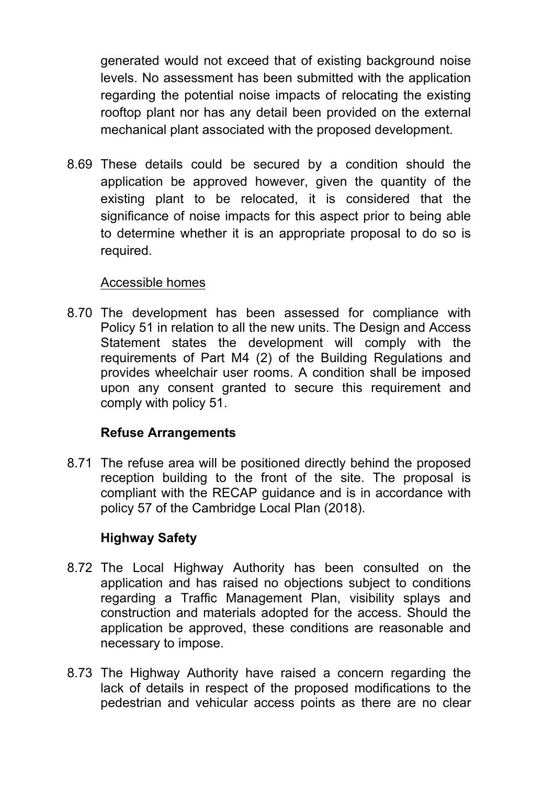generated would not exceed that of existing background noise levels. No assessment has been submitted with the application regarding the potential noise impacts of relocating the existing rooftop plant nor has any detail been provided on the external mechanical plant associated with the proposed development.

8.69 These details could be secured by a condition should the application be approved however, given the quantity of the existing plant to be relocated, it is considered that the significance of noise impacts for this aspect prior to being able to determine whether it is an appropriate proposal to do so is required.

#### Accessible homes

8.70 The development has been assessed for compliance with Policy 51 in relation to all the new units. The Design and Access Statement states the development will comply with the requirements of Part M4 (2) of the Building Regulations and provides wheelchair user rooms. A condition shall be imposed upon any consent granted to secure this requirement and comply with policy 51.

### **Refuse Arrangements**

8.71 The refuse area will be positioned directly behind the proposed reception building to the front of the site. The proposal is compliant with the RECAP guidance and is in accordance with policy 57 of the Cambridge Local Plan (2018).

## **Highway Safety**

- 8.72 The Local Highway Authority has been consulted on the application and has raised no objections subject to conditions regarding a Traffic Management Plan, visibility splays and construction and materials adopted for the access. Should the application be approved, these conditions are reasonable and necessary to impose.
- 8.73 The Highway Authority have raised a concern regarding the lack of details in respect of the proposed modifications to the pedestrian and vehicular access points as there are no clear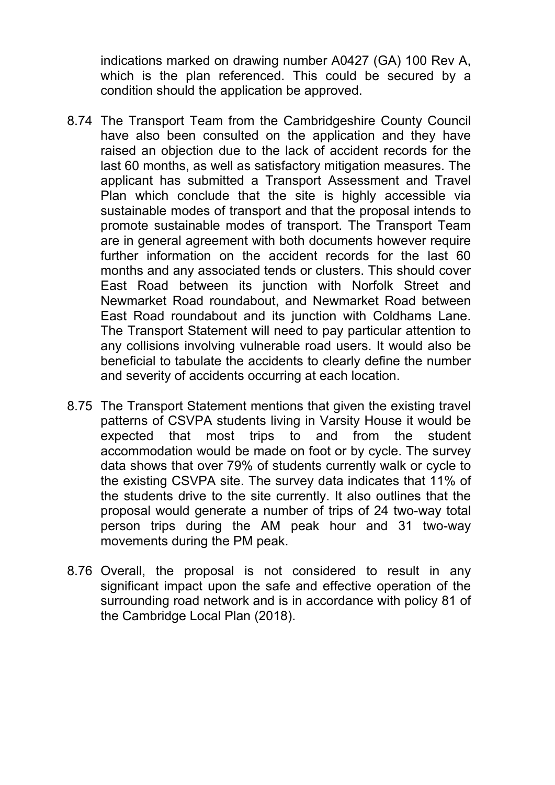indications marked on drawing number A0427 (GA) 100 Rev A, which is the plan referenced. This could be secured by a condition should the application be approved.

- 8.74 The Transport Team from the Cambridgeshire County Council have also been consulted on the application and they have raised an objection due to the lack of accident records for the last 60 months, as well as satisfactory mitigation measures. The applicant has submitted a Transport Assessment and Travel Plan which conclude that the site is highly accessible via sustainable modes of transport and that the proposal intends to promote sustainable modes of transport. The Transport Team are in general agreement with both documents however require further information on the accident records for the last 60 months and any associated tends or clusters. This should cover East Road between its junction with Norfolk Street and Newmarket Road roundabout, and Newmarket Road between East Road roundabout and its junction with Coldhams Lane. The Transport Statement will need to pay particular attention to any collisions involving vulnerable road users. It would also be beneficial to tabulate the accidents to clearly define the number and severity of accidents occurring at each location.
- 8.75 The Transport Statement mentions that given the existing travel patterns of CSVPA students living in Varsity House it would be expected that most trips to and from the student accommodation would be made on foot or by cycle. The survey data shows that over 79% of students currently walk or cycle to the existing CSVPA site. The survey data indicates that 11% of the students drive to the site currently. It also outlines that the proposal would generate a number of trips of 24 two-way total person trips during the AM peak hour and 31 two-way movements during the PM peak.
- 8.76 Overall, the proposal is not considered to result in any significant impact upon the safe and effective operation of the surrounding road network and is in accordance with policy 81 of the Cambridge Local Plan (2018).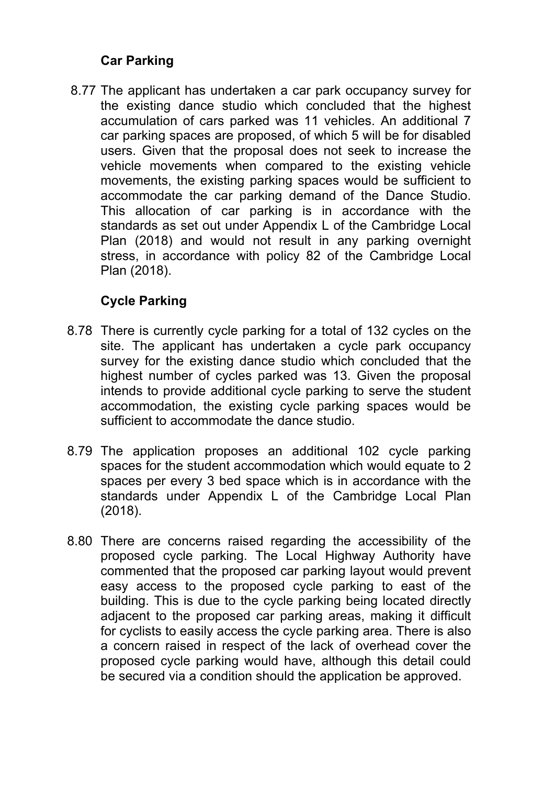### **Car Parking**

 8.77 The applicant has undertaken a car park occupancy survey for the existing dance studio which concluded that the highest accumulation of cars parked was 11 vehicles. An additional 7 car parking spaces are proposed, of which 5 will be for disabled users. Given that the proposal does not seek to increase the vehicle movements when compared to the existing vehicle movements, the existing parking spaces would be sufficient to accommodate the car parking demand of the Dance Studio. This allocation of car parking is in accordance with the standards as set out under Appendix L of the Cambridge Local Plan (2018) and would not result in any parking overnight stress, in accordance with policy 82 of the Cambridge Local Plan (2018).

## **Cycle Parking**

- 8.78 There is currently cycle parking for a total of 132 cycles on the site. The applicant has undertaken a cycle park occupancy survey for the existing dance studio which concluded that the highest number of cycles parked was 13. Given the proposal intends to provide additional cycle parking to serve the student accommodation, the existing cycle parking spaces would be sufficient to accommodate the dance studio.
- 8.79 The application proposes an additional 102 cycle parking spaces for the student accommodation which would equate to 2 spaces per every 3 bed space which is in accordance with the standards under Appendix L of the Cambridge Local Plan (2018).
- 8.80 There are concerns raised regarding the accessibility of the proposed cycle parking. The Local Highway Authority have commented that the proposed car parking layout would prevent easy access to the proposed cycle parking to east of the building. This is due to the cycle parking being located directly adjacent to the proposed car parking areas, making it difficult for cyclists to easily access the cycle parking area. There is also a concern raised in respect of the lack of overhead cover the proposed cycle parking would have, although this detail could be secured via a condition should the application be approved.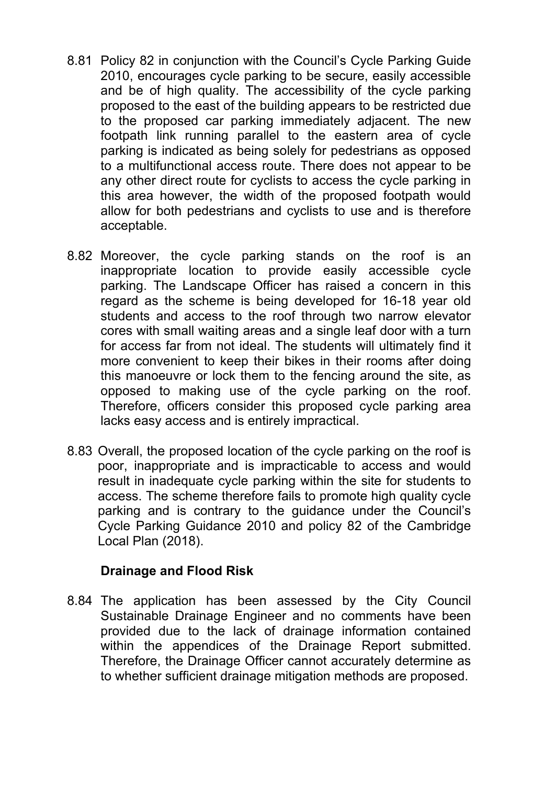- 8.81 Policy 82 in conjunction with the Council's Cycle Parking Guide 2010, encourages cycle parking to be secure, easily accessible and be of high quality. The accessibility of the cycle parking proposed to the east of the building appears to be restricted due to the proposed car parking immediately adjacent. The new footpath link running parallel to the eastern area of cycle parking is indicated as being solely for pedestrians as opposed to a multifunctional access route. There does not appear to be any other direct route for cyclists to access the cycle parking in this area however, the width of the proposed footpath would allow for both pedestrians and cyclists to use and is therefore acceptable.
- 8.82 Moreover, the cycle parking stands on the roof is an inappropriate location to provide easily accessible cycle parking. The Landscape Officer has raised a concern in this regard as the scheme is being developed for 16-18 year old students and access to the roof through two narrow elevator cores with small waiting areas and a single leaf door with a turn for access far from not ideal. The students will ultimately find it more convenient to keep their bikes in their rooms after doing this manoeuvre or lock them to the fencing around the site, as opposed to making use of the cycle parking on the roof. Therefore, officers consider this proposed cycle parking area lacks easy access and is entirely impractical.
- 8.83 Overall, the proposed location of the cycle parking on the roof is poor, inappropriate and is impracticable to access and would result in inadequate cycle parking within the site for students to access. The scheme therefore fails to promote high quality cycle parking and is contrary to the guidance under the Council's Cycle Parking Guidance 2010 and policy 82 of the Cambridge Local Plan (2018).

### **Drainage and Flood Risk**

8.84 The application has been assessed by the City Council Sustainable Drainage Engineer and no comments have been provided due to the lack of drainage information contained within the appendices of the Drainage Report submitted. Therefore, the Drainage Officer cannot accurately determine as to whether sufficient drainage mitigation methods are proposed.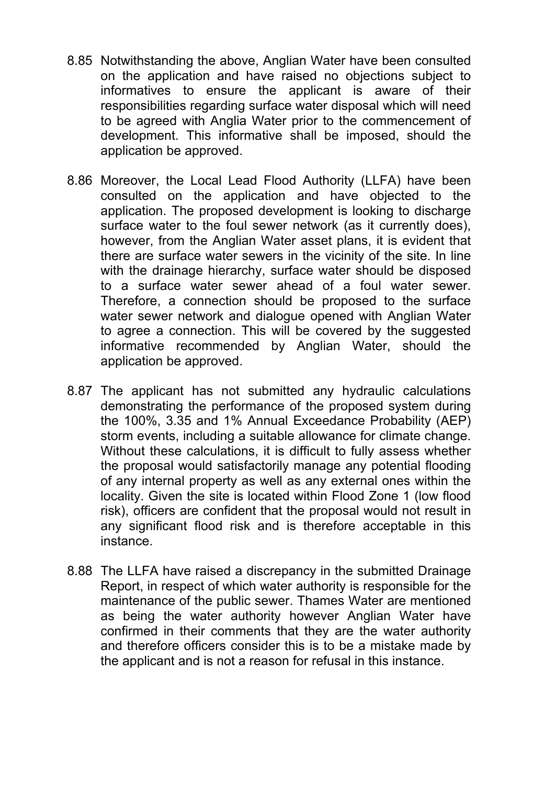- 8.85 Notwithstanding the above, Anglian Water have been consulted on the application and have raised no objections subject to informatives to ensure the applicant is aware of their responsibilities regarding surface water disposal which will need to be agreed with Anglia Water prior to the commencement of development. This informative shall be imposed, should the application be approved.
- 8.86 Moreover, the Local Lead Flood Authority (LLFA) have been consulted on the application and have objected to the application. The proposed development is looking to discharge surface water to the foul sewer network (as it currently does), however, from the Anglian Water asset plans, it is evident that there are surface water sewers in the vicinity of the site. In line with the drainage hierarchy, surface water should be disposed to a surface water sewer ahead of a foul water sewer. Therefore, a connection should be proposed to the surface water sewer network and dialogue opened with Anglian Water to agree a connection. This will be covered by the suggested informative recommended by Anglian Water, should the application be approved.
- 8.87 The applicant has not submitted any hydraulic calculations demonstrating the performance of the proposed system during the 100%, 3.35 and 1% Annual Exceedance Probability (AEP) storm events, including a suitable allowance for climate change. Without these calculations, it is difficult to fully assess whether the proposal would satisfactorily manage any potential flooding of any internal property as well as any external ones within the locality. Given the site is located within Flood Zone 1 (low flood risk), officers are confident that the proposal would not result in any significant flood risk and is therefore acceptable in this instance.
- 8.88 The LLFA have raised a discrepancy in the submitted Drainage Report, in respect of which water authority is responsible for the maintenance of the public sewer. Thames Water are mentioned as being the water authority however Anglian Water have confirmed in their comments that they are the water authority and therefore officers consider this is to be a mistake made by the applicant and is not a reason for refusal in this instance.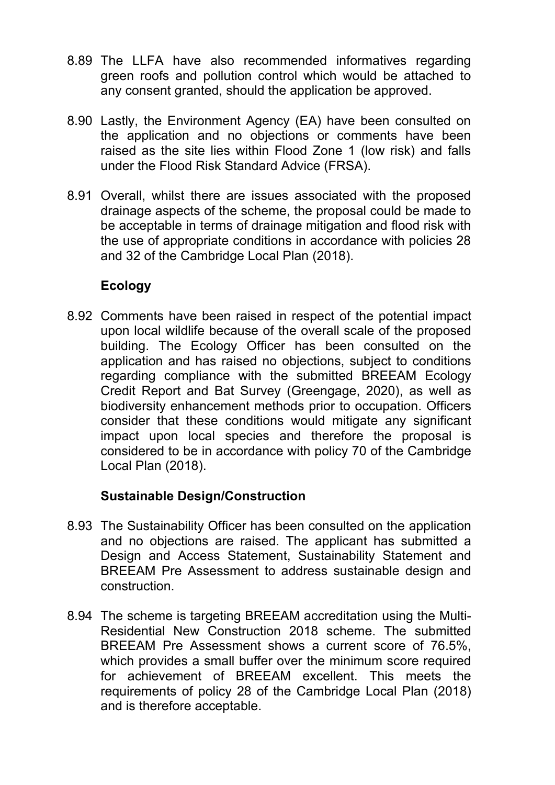- 8.89 The LLFA have also recommended informatives regarding green roofs and pollution control which would be attached to any consent granted, should the application be approved.
- 8.90 Lastly, the Environment Agency (EA) have been consulted on the application and no objections or comments have been raised as the site lies within Flood Zone 1 (low risk) and falls under the Flood Risk Standard Advice (FRSA).
- 8.91 Overall, whilst there are issues associated with the proposed drainage aspects of the scheme, the proposal could be made to be acceptable in terms of drainage mitigation and flood risk with the use of appropriate conditions in accordance with policies 28 and 32 of the Cambridge Local Plan (2018).

### **Ecology**

8.92 Comments have been raised in respect of the potential impact upon local wildlife because of the overall scale of the proposed building. The Ecology Officer has been consulted on the application and has raised no objections, subject to conditions regarding compliance with the submitted BREEAM Ecology Credit Report and Bat Survey (Greengage, 2020), as well as biodiversity enhancement methods prior to occupation. Officers consider that these conditions would mitigate any significant impact upon local species and therefore the proposal is considered to be in accordance with policy 70 of the Cambridge Local Plan (2018).

### **Sustainable Design/Construction**

- 8.93 The Sustainability Officer has been consulted on the application and no objections are raised. The applicant has submitted a Design and Access Statement, Sustainability Statement and BREEAM Pre Assessment to address sustainable design and construction.
- 8.94 The scheme is targeting BREEAM accreditation using the Multi-Residential New Construction 2018 scheme. The submitted BREEAM Pre Assessment shows a current score of 76.5%, which provides a small buffer over the minimum score required for achievement of BREEAM excellent. This meets the requirements of policy 28 of the Cambridge Local Plan (2018) and is therefore acceptable.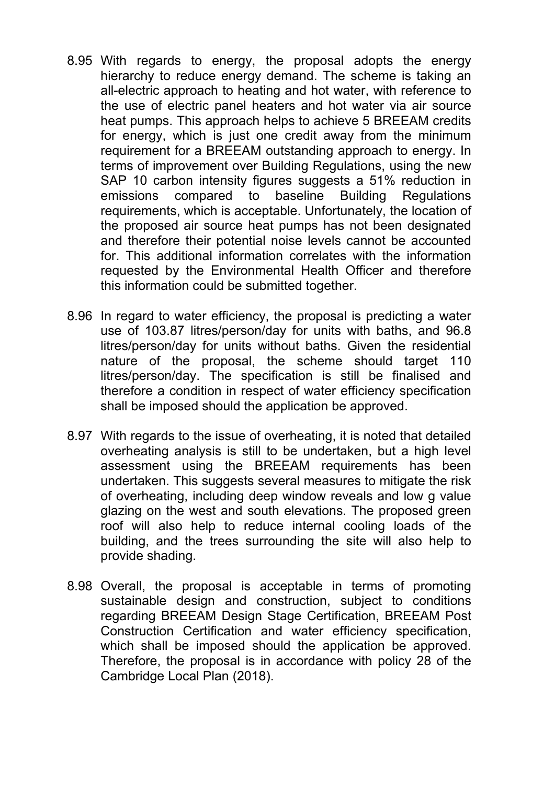- 8.95 With regards to energy, the proposal adopts the energy hierarchy to reduce energy demand. The scheme is taking an all-electric approach to heating and hot water, with reference to the use of electric panel heaters and hot water via air source heat pumps. This approach helps to achieve 5 BREEAM credits for energy, which is just one credit away from the minimum requirement for a BREEAM outstanding approach to energy. In terms of improvement over Building Regulations, using the new SAP 10 carbon intensity figures suggests a 51% reduction in emissions compared to baseline Building Regulations requirements, which is acceptable. Unfortunately, the location of the proposed air source heat pumps has not been designated and therefore their potential noise levels cannot be accounted for. This additional information correlates with the information requested by the Environmental Health Officer and therefore this information could be submitted together.
- 8.96 In regard to water efficiency, the proposal is predicting a water use of 103.87 litres/person/day for units with baths, and 96.8 litres/person/day for units without baths. Given the residential nature of the proposal, the scheme should target 110 litres/person/day. The specification is still be finalised and therefore a condition in respect of water efficiency specification shall be imposed should the application be approved.
- 8.97 With regards to the issue of overheating, it is noted that detailed overheating analysis is still to be undertaken, but a high level assessment using the BREEAM requirements has been undertaken. This suggests several measures to mitigate the risk of overheating, including deep window reveals and low g value glazing on the west and south elevations. The proposed green roof will also help to reduce internal cooling loads of the building, and the trees surrounding the site will also help to provide shading.
- 8.98 Overall, the proposal is acceptable in terms of promoting sustainable design and construction, subject to conditions regarding BREEAM Design Stage Certification, BREEAM Post Construction Certification and water efficiency specification, which shall be imposed should the application be approved. Therefore, the proposal is in accordance with policy 28 of the Cambridge Local Plan (2018).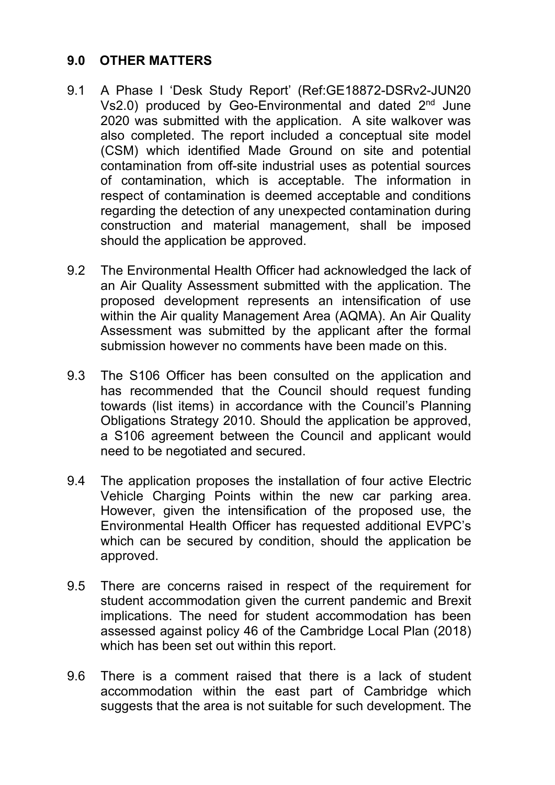### **9.0 OTHER MATTERS**

- 9.1 A Phase I 'Desk Study Report' (Ref:GE18872-DSRv2-JUN20 Vs2.0) produced by Geo-Environmental and dated  $2<sup>nd</sup>$  June 2020 was submitted with the application. A site walkover was also completed. The report included a conceptual site model (CSM) which identified Made Ground on site and potential contamination from off-site industrial uses as potential sources of contamination, which is acceptable. The information in respect of contamination is deemed acceptable and conditions regarding the detection of any unexpected contamination during construction and material management, shall be imposed should the application be approved.
- 9.2 The Environmental Health Officer had acknowledged the lack of an Air Quality Assessment submitted with the application. The proposed development represents an intensification of use within the Air quality Management Area (AQMA). An Air Quality Assessment was submitted by the applicant after the formal submission however no comments have been made on this.
- 9.3 The S106 Officer has been consulted on the application and has recommended that the Council should request funding towards (list items) in accordance with the Council's Planning Obligations Strategy 2010. Should the application be approved, a S106 agreement between the Council and applicant would need to be negotiated and secured.
- 9.4 The application proposes the installation of four active Electric Vehicle Charging Points within the new car parking area. However, given the intensification of the proposed use, the Environmental Health Officer has requested additional EVPC's which can be secured by condition, should the application be approved.
- 9.5 There are concerns raised in respect of the requirement for student accommodation given the current pandemic and Brexit implications. The need for student accommodation has been assessed against policy 46 of the Cambridge Local Plan (2018) which has been set out within this report.
- 9.6 There is a comment raised that there is a lack of student accommodation within the east part of Cambridge which suggests that the area is not suitable for such development. The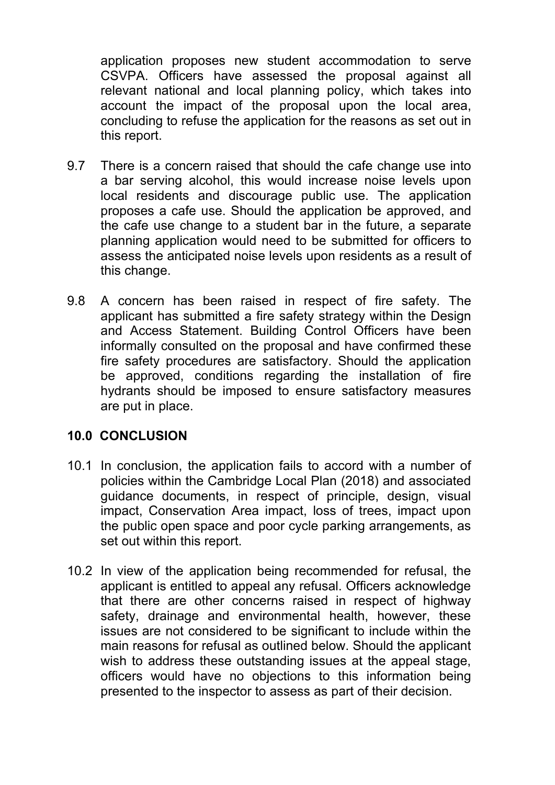application proposes new student accommodation to serve CSVPA. Officers have assessed the proposal against all relevant national and local planning policy, which takes into account the impact of the proposal upon the local area, concluding to refuse the application for the reasons as set out in this report.

- 9.7 There is a concern raised that should the cafe change use into a bar serving alcohol, this would increase noise levels upon local residents and discourage public use. The application proposes a cafe use. Should the application be approved, and the cafe use change to a student bar in the future, a separate planning application would need to be submitted for officers to assess the anticipated noise levels upon residents as a result of this change.
- 9.8 A concern has been raised in respect of fire safety. The applicant has submitted a fire safety strategy within the Design and Access Statement. Building Control Officers have been informally consulted on the proposal and have confirmed these fire safety procedures are satisfactory. Should the application be approved, conditions regarding the installation of fire hydrants should be imposed to ensure satisfactory measures are put in place.

### **10.0 CONCLUSION**

- 10.1 In conclusion, the application fails to accord with a number of policies within the Cambridge Local Plan (2018) and associated guidance documents, in respect of principle, design, visual impact, Conservation Area impact, loss of trees, impact upon the public open space and poor cycle parking arrangements, as set out within this report.
- 10.2 In view of the application being recommended for refusal, the applicant is entitled to appeal any refusal. Officers acknowledge that there are other concerns raised in respect of highway safety, drainage and environmental health, however, these issues are not considered to be significant to include within the main reasons for refusal as outlined below. Should the applicant wish to address these outstanding issues at the appeal stage, officers would have no objections to this information being presented to the inspector to assess as part of their decision.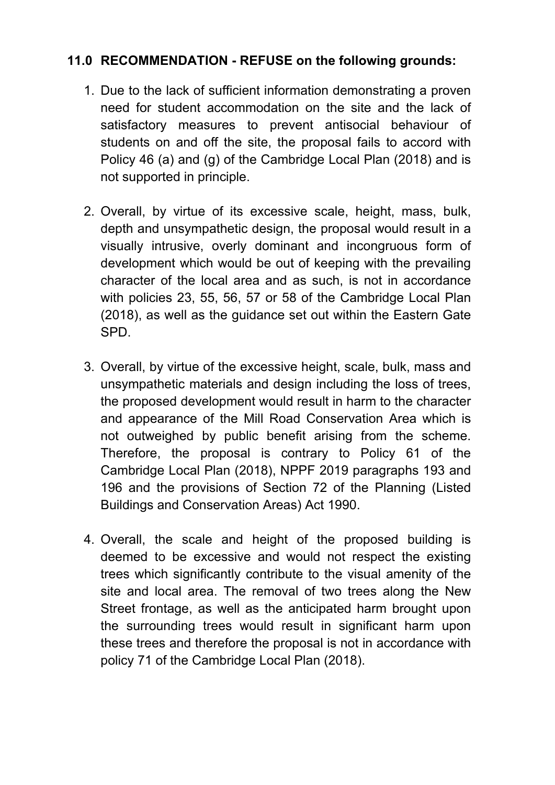## **11.0 RECOMMENDATION - REFUSE on the following grounds:**

- 1. Due to the lack of sufficient information demonstrating a proven need for student accommodation on the site and the lack of satisfactory measures to prevent antisocial behaviour of students on and off the site, the proposal fails to accord with Policy 46 (a) and (g) of the Cambridge Local Plan (2018) and is not supported in principle.
- 2. Overall, by virtue of its excessive scale, height, mass, bulk, depth and unsympathetic design, the proposal would result in a visually intrusive, overly dominant and incongruous form of development which would be out of keeping with the prevailing character of the local area and as such, is not in accordance with policies 23, 55, 56, 57 or 58 of the Cambridge Local Plan (2018), as well as the guidance set out within the Eastern Gate SPD.
- 3. Overall, by virtue of the excessive height, scale, bulk, mass and unsympathetic materials and design including the loss of trees, the proposed development would result in harm to the character and appearance of the Mill Road Conservation Area which is not outweighed by public benefit arising from the scheme. Therefore, the proposal is contrary to Policy 61 of the Cambridge Local Plan (2018), NPPF 2019 paragraphs 193 and 196 and the provisions of Section 72 of the Planning (Listed Buildings and Conservation Areas) Act 1990.
- 4. Overall, the scale and height of the proposed building is deemed to be excessive and would not respect the existing trees which significantly contribute to the visual amenity of the site and local area. The removal of two trees along the New Street frontage, as well as the anticipated harm brought upon the surrounding trees would result in significant harm upon these trees and therefore the proposal is not in accordance with policy 71 of the Cambridge Local Plan (2018).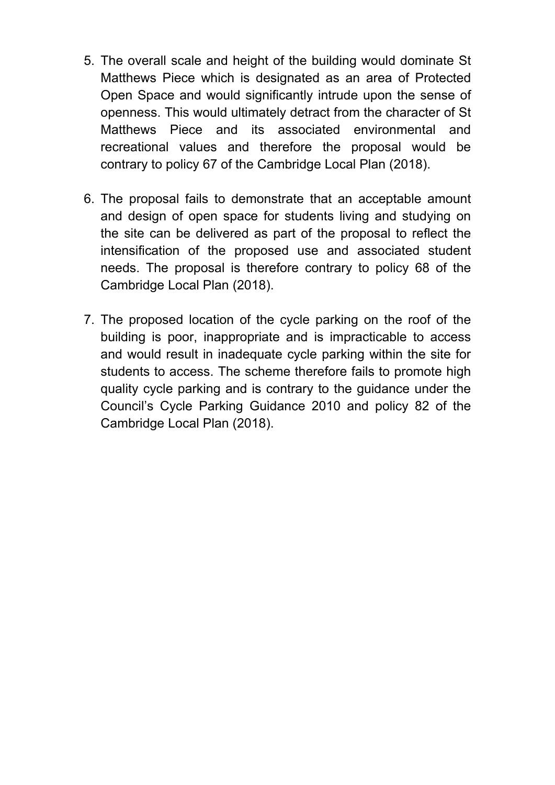- 5. The overall scale and height of the building would dominate St Matthews Piece which is designated as an area of Protected Open Space and would significantly intrude upon the sense of openness. This would ultimately detract from the character of St Matthews Piece and its associated environmental and recreational values and therefore the proposal would be contrary to policy 67 of the Cambridge Local Plan (2018).
- 6. The proposal fails to demonstrate that an acceptable amount and design of open space for students living and studying on the site can be delivered as part of the proposal to reflect the intensification of the proposed use and associated student needs. The proposal is therefore contrary to policy 68 of the Cambridge Local Plan (2018).
- 7. The proposed location of the cycle parking on the roof of the building is poor, inappropriate and is impracticable to access and would result in inadequate cycle parking within the site for students to access. The scheme therefore fails to promote high quality cycle parking and is contrary to the guidance under the Council's Cycle Parking Guidance 2010 and policy 82 of the Cambridge Local Plan (2018).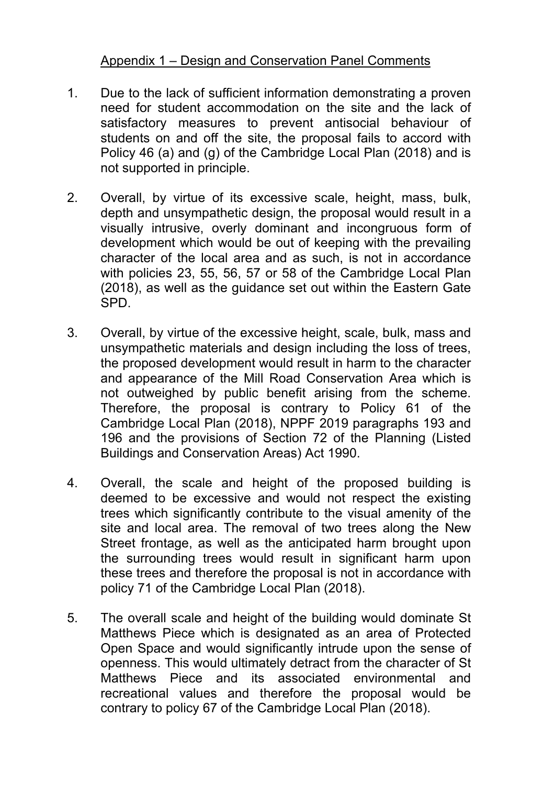### Appendix 1 – Design and Conservation Panel Comments

- 1. Due to the lack of sufficient information demonstrating a proven need for student accommodation on the site and the lack of satisfactory measures to prevent antisocial behaviour of students on and off the site, the proposal fails to accord with Policy 46 (a) and (g) of the Cambridge Local Plan (2018) and is not supported in principle.
- 2. Overall, by virtue of its excessive scale, height, mass, bulk, depth and unsympathetic design, the proposal would result in a visually intrusive, overly dominant and incongruous form of development which would be out of keeping with the prevailing character of the local area and as such, is not in accordance with policies 23, 55, 56, 57 or 58 of the Cambridge Local Plan (2018), as well as the guidance set out within the Eastern Gate SPD.
- 3. Overall, by virtue of the excessive height, scale, bulk, mass and unsympathetic materials and design including the loss of trees, the proposed development would result in harm to the character and appearance of the Mill Road Conservation Area which is not outweighed by public benefit arising from the scheme. Therefore, the proposal is contrary to Policy 61 of the Cambridge Local Plan (2018), NPPF 2019 paragraphs 193 and 196 and the provisions of Section 72 of the Planning (Listed Buildings and Conservation Areas) Act 1990.
- 4. Overall, the scale and height of the proposed building is deemed to be excessive and would not respect the existing trees which significantly contribute to the visual amenity of the site and local area. The removal of two trees along the New Street frontage, as well as the anticipated harm brought upon the surrounding trees would result in significant harm upon these trees and therefore the proposal is not in accordance with policy 71 of the Cambridge Local Plan (2018).
- 5. The overall scale and height of the building would dominate St Matthews Piece which is designated as an area of Protected Open Space and would significantly intrude upon the sense of openness. This would ultimately detract from the character of St Matthews Piece and its associated environmental and recreational values and therefore the proposal would be contrary to policy 67 of the Cambridge Local Plan (2018).